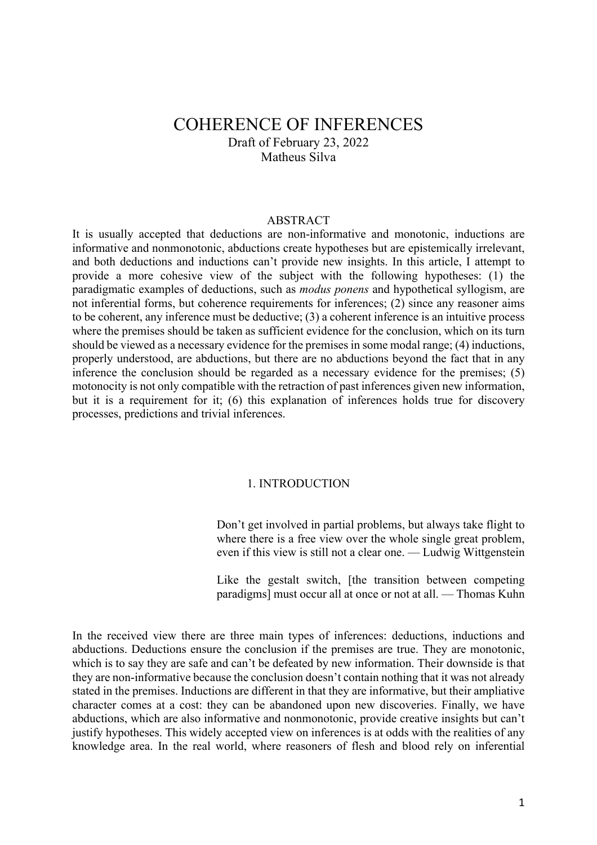# COHERENCE OF INFERENCES Draft of February 23, 2022 Matheus Silva

## ABSTRACT

It is usually accepted that deductions are non-informative and monotonic, inductions are informative and nonmonotonic, abductions create hypotheses but are epistemically irrelevant, and both deductions and inductions can't provide new insights. In this article, I attempt to provide a more cohesive view of the subject with the following hypotheses: (1) the paradigmatic examples of deductions, such as *modus ponens* and hypothetical syllogism, are not inferential forms, but coherence requirements for inferences; (2) since any reasoner aims to be coherent, any inference must be deductive; (3) a coherent inference is an intuitive process where the premises should be taken as sufficient evidence for the conclusion, which on its turn should be viewed as a necessary evidence for the premises in some modal range; (4) inductions, properly understood, are abductions, but there are no abductions beyond the fact that in any inference the conclusion should be regarded as a necessary evidence for the premises; (5) motonocity is not only compatible with the retraction of past inferences given new information, but it is a requirement for it; (6) this explanation of inferences holds true for discovery processes, predictions and trivial inferences.

## 1. INTRODUCTION

Don't get involved in partial problems, but always take flight to where there is a free view over the whole single great problem, even if this view is still not a clear one. — Ludwig Wittgenstein

Like the gestalt switch, [the transition between competing paradigms] must occur all at once or not at all. — Thomas Kuhn

In the received view there are three main types of inferences: deductions, inductions and abductions. Deductions ensure the conclusion if the premises are true. They are monotonic, which is to say they are safe and can't be defeated by new information. Their downside is that they are non-informative because the conclusion doesn't contain nothing that it was not already stated in the premises. Inductions are different in that they are informative, but their ampliative character comes at a cost: they can be abandoned upon new discoveries. Finally, we have abductions, which are also informative and nonmonotonic, provide creative insights but can't justify hypotheses. This widely accepted view on inferences is at odds with the realities of any knowledge area. In the real world, where reasoners of flesh and blood rely on inferential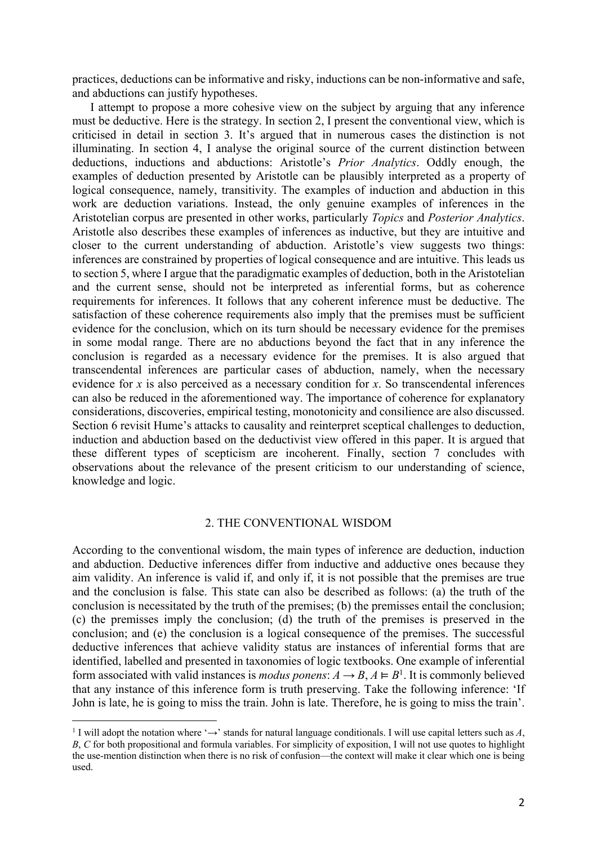practices, deductions can be informative and risky, inductions can be non-informative and safe, and abductions can justify hypotheses.

I attempt to propose a more cohesive view on the subject by arguing that any inference must be deductive. Here is the strategy. In section 2, I present the conventional view, which is criticised in detail in section 3. It's argued that in numerous cases the distinction is not illuminating. In section 4, I analyse the original source of the current distinction between deductions, inductions and abductions: Aristotle's *Prior Analytics*. Oddly enough, the examples of deduction presented by Aristotle can be plausibly interpreted as a property of logical consequence, namely, transitivity. The examples of induction and abduction in this work are deduction variations. Instead, the only genuine examples of inferences in the Aristotelian corpus are presented in other works, particularly *Topics* and *Posterior Analytics*. Aristotle also describes these examples of inferences as inductive, but they are intuitive and closer to the current understanding of abduction. Aristotle's view suggests two things: inferences are constrained by properties of logical consequence and are intuitive. This leads us to section 5, where I argue that the paradigmatic examples of deduction, both in the Aristotelian and the current sense, should not be interpreted as inferential forms, but as coherence requirements for inferences. It follows that any coherent inference must be deductive. The satisfaction of these coherence requirements also imply that the premises must be sufficient evidence for the conclusion, which on its turn should be necessary evidence for the premises in some modal range. There are no abductions beyond the fact that in any inference the conclusion is regarded as a necessary evidence for the premises. It is also argued that transcendental inferences are particular cases of abduction, namely, when the necessary evidence for *x* is also perceived as a necessary condition for *x*. So transcendental inferences can also be reduced in the aforementioned way. The importance of coherence for explanatory considerations, discoveries, empirical testing, monotonicity and consilience are also discussed. Section 6 revisit Hume's attacks to causality and reinterpret sceptical challenges to deduction, induction and abduction based on the deductivist view offered in this paper. It is argued that these different types of scepticism are incoherent. Finally, section 7 concludes with observations about the relevance of the present criticism to our understanding of science, knowledge and logic.

## 2. THE CONVENTIONAL WISDOM

According to the conventional wisdom, the main types of inference are deduction, induction and abduction. Deductive inferences differ from inductive and adductive ones because they aim validity. An inference is valid if, and only if, it is not possible that the premises are true and the conclusion is false. This state can also be described as follows: (a) the truth of the conclusion is necessitated by the truth of the premises; (b) the premisses entail the conclusion; (c) the premisses imply the conclusion; (d) the truth of the premises is preserved in the conclusion; and (e) the conclusion is a logical consequence of the premises. The successful deductive inferences that achieve validity status are instances of inferential forms that are identified, labelled and presented in taxonomies of logic textbooks. One example of inferential form associated with valid instances is *modus ponens*:  $A \rightarrow B$ ,  $A \models B^1$ . It is commonly believed that any instance of this inference form is truth preserving. Take the following inference: 'If John is late, he is going to miss the train. John is late. Therefore, he is going to miss the train'.

<sup>&</sup>lt;sup>1</sup> I will adopt the notation where ' $\rightarrow$ ' stands for natural language conditionals. I will use capital letters such as *A*, *B*, *C* for both propositional and formula variables. For simplicity of exposition, I will not use quotes to highlight the use-mention distinction when there is no risk of confusion—the context will make it clear which one is being used.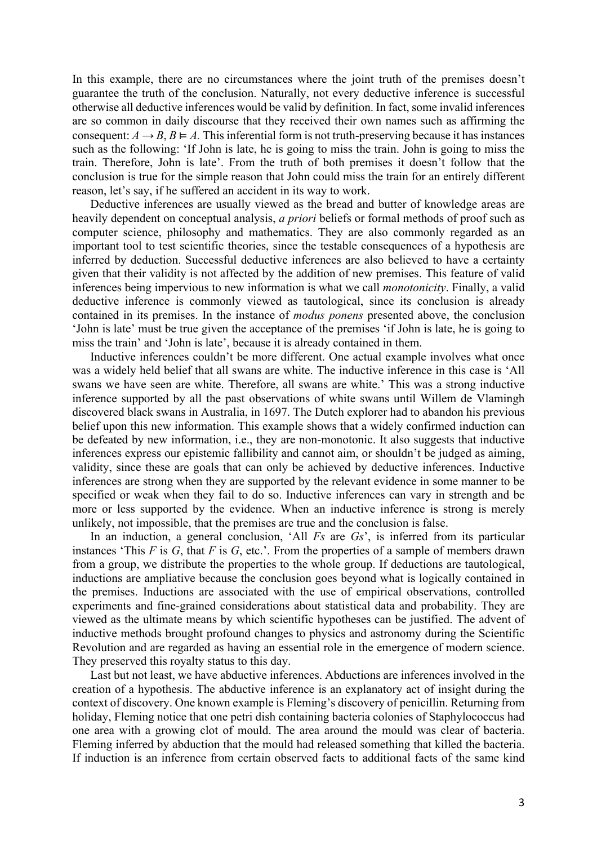In this example, there are no circumstances where the joint truth of the premises doesn't guarantee the truth of the conclusion. Naturally, not every deductive inference is successful otherwise all deductive inferences would be valid by definition. In fact, some invalid inferences are so common in daily discourse that they received their own names such as affirming the consequent:  $A \rightarrow B$ ,  $B \models A$ . This inferential form is not truth-preserving because it has instances such as the following: 'If John is late, he is going to miss the train. John is going to miss the train. Therefore, John is late'. From the truth of both premises it doesn't follow that the conclusion is true for the simple reason that John could miss the train for an entirely different reason, let's say, if he suffered an accident in its way to work.

Deductive inferences are usually viewed as the bread and butter of knowledge areas are heavily dependent on conceptual analysis, *a priori* beliefs or formal methods of proof such as computer science, philosophy and mathematics. They are also commonly regarded as an important tool to test scientific theories, since the testable consequences of a hypothesis are inferred by deduction. Successful deductive inferences are also believed to have a certainty given that their validity is not affected by the addition of new premises. This feature of valid inferences being impervious to new information is what we call *monotonicity*. Finally, a valid deductive inference is commonly viewed as tautological, since its conclusion is already contained in its premises. In the instance of *modus ponens* presented above, the conclusion 'John is late' must be true given the acceptance of the premises 'if John is late, he is going to miss the train' and 'John is late', because it is already contained in them.

Inductive inferences couldn't be more different. One actual example involves what once was a widely held belief that all swans are white. The inductive inference in this case is 'All swans we have seen are white. Therefore, all swans are white.' This was a strong inductive inference supported by all the past observations of white swans until Willem de Vlamingh discovered black swans in Australia, in 1697. The Dutch explorer had to abandon his previous belief upon this new information. This example shows that a widely confirmed induction can be defeated by new information, i.e., they are non-monotonic. It also suggests that inductive inferences express our epistemic fallibility and cannot aim, or shouldn't be judged as aiming, validity, since these are goals that can only be achieved by deductive inferences. Inductive inferences are strong when they are supported by the relevant evidence in some manner to be specified or weak when they fail to do so. Inductive inferences can vary in strength and be more or less supported by the evidence. When an inductive inference is strong is merely unlikely, not impossible, that the premises are true and the conclusion is false.

In an induction, a general conclusion, 'All *Fs* are *Gs*', is inferred from its particular instances 'This *F* is *G*, that *F* is *G*, etc.'. From the properties of a sample of members drawn from a group, we distribute the properties to the whole group. If deductions are tautological, inductions are ampliative because the conclusion goes beyond what is logically contained in the premises. Inductions are associated with the use of empirical observations, controlled experiments and fine-grained considerations about statistical data and probability. They are viewed as the ultimate means by which scientific hypotheses can be justified. The advent of inductive methods brought profound changes to physics and astronomy during the Scientific Revolution and are regarded as having an essential role in the emergence of modern science. They preserved this royalty status to this day.

Last but not least, we have abductive inferences. Abductions are inferences involved in the creation of a hypothesis. The abductive inference is an explanatory act of insight during the context of discovery. One known example is Fleming's discovery of penicillin. Returning from holiday, Fleming notice that one petri dish containing bacteria colonies of Staphylococcus had one area with a growing clot of mould. The area around the mould was clear of bacteria. Fleming inferred by abduction that the mould had released something that killed the bacteria. If induction is an inference from certain observed facts to additional facts of the same kind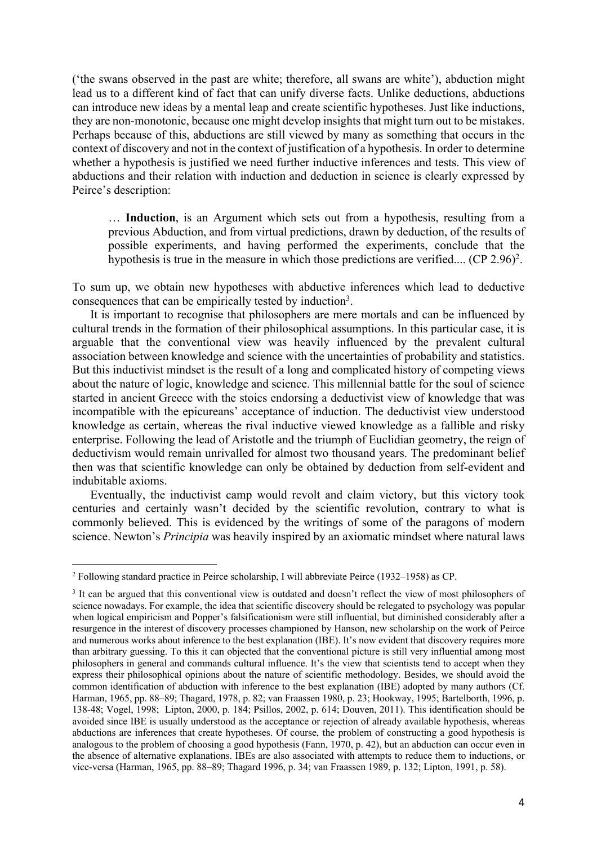('the swans observed in the past are white; therefore, all swans are white'), abduction might lead us to a different kind of fact that can unify diverse facts. Unlike deductions, abductions can introduce new ideas by a mental leap and create scientific hypotheses. Just like inductions, they are non-monotonic, because one might develop insights that might turn out to be mistakes. Perhaps because of this, abductions are still viewed by many as something that occurs in the context of discovery and not in the context of justification of a hypothesis. In order to determine whether a hypothesis is justified we need further inductive inferences and tests. This view of abductions and their relation with induction and deduction in science is clearly expressed by Peirce's description:

… **Induction**, is an Argument which sets out from a hypothesis, resulting from a previous Abduction, and from virtual predictions, drawn by deduction, of the results of possible experiments, and having performed the experiments, conclude that the hypothesis is true in the measure in which those predictions are verified.... (CP 2.96)<sup>2</sup>.

To sum up, we obtain new hypotheses with abductive inferences which lead to deductive consequences that can be empirically tested by induction3.

It is important to recognise that philosophers are mere mortals and can be influenced by cultural trends in the formation of their philosophical assumptions. In this particular case, it is arguable that the conventional view was heavily influenced by the prevalent cultural association between knowledge and science with the uncertainties of probability and statistics. But this inductivist mindset is the result of a long and complicated history of competing views about the nature of logic, knowledge and science. This millennial battle for the soul of science started in ancient Greece with the stoics endorsing a deductivist view of knowledge that was incompatible with the epicureans' acceptance of induction. The deductivist view understood knowledge as certain, whereas the rival inductive viewed knowledge as a fallible and risky enterprise. Following the lead of Aristotle and the triumph of Euclidian geometry, the reign of deductivism would remain unrivalled for almost two thousand years. The predominant belief then was that scientific knowledge can only be obtained by deduction from self-evident and indubitable axioms.

Eventually, the inductivist camp would revolt and claim victory, but this victory took centuries and certainly wasn't decided by the scientific revolution, contrary to what is commonly believed. This is evidenced by the writings of some of the paragons of modern science. Newton's *Principia* was heavily inspired by an axiomatic mindset where natural laws

<sup>2</sup> Following standard practice in Peirce scholarship, I will abbreviate Peirce (1932–1958) as CP.

<sup>&</sup>lt;sup>3</sup> It can be argued that this conventional view is outdated and doesn't reflect the view of most philosophers of science nowadays. For example, the idea that scientific discovery should be relegated to psychology was popular when logical empiricism and Popper's falsificationism were still influential, but diminished considerably after a resurgence in the interest of discovery processes championed by Hanson, new scholarship on the work of Peirce and numerous works about inference to the best explanation (IBE). It's now evident that discovery requires more than arbitrary guessing. To this it can objected that the conventional picture is still very influential among most philosophers in general and commands cultural influence. It's the view that scientists tend to accept when they express their philosophical opinions about the nature of scientific methodology. Besides, we should avoid the common identification of abduction with inference to the best explanation (IBE) adopted by many authors (Cf. Harman, 1965, pp. 88–89; Thagard, 1978, p. 82; van Fraassen 1980, p. 23; Hookway, 1995; Bartelborth, 1996, p. 138-48; Vogel, 1998; Lipton, 2000, p. 184; Psillos, 2002, p. 614; Douven, 2011). This identification should be avoided since IBE is usually understood as the acceptance or rejection of already available hypothesis, whereas abductions are inferences that create hypotheses. Of course, the problem of constructing a good hypothesis is analogous to the problem of choosing a good hypothesis (Fann, 1970, p. 42), but an abduction can occur even in the absence of alternative explanations. IBEs are also associated with attempts to reduce them to inductions, or vice-versa (Harman, 1965, pp. 88–89; Thagard 1996, p. 34; van Fraassen 1989, p. 132; Lipton, 1991, p. 58).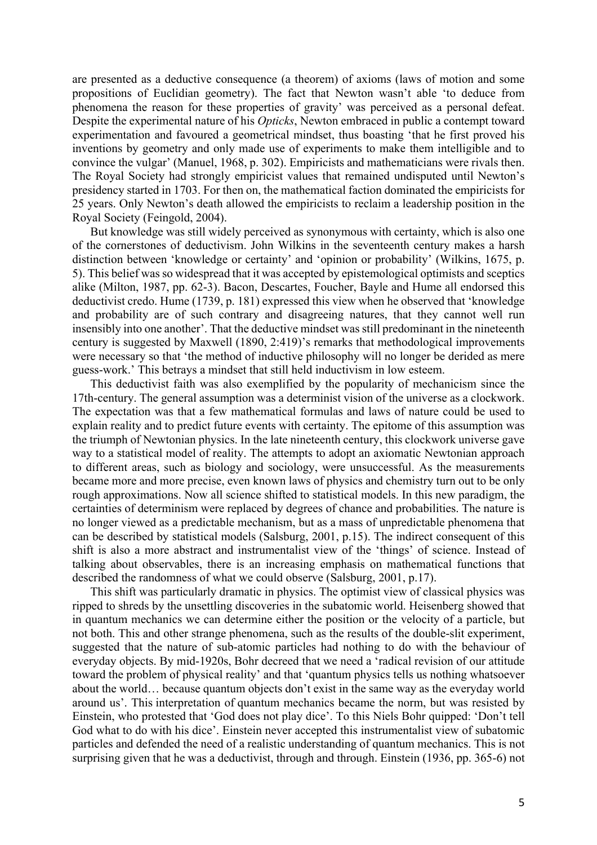are presented as a deductive consequence (a theorem) of axioms (laws of motion and some propositions of Euclidian geometry). The fact that Newton wasn't able 'to deduce from phenomena the reason for these properties of gravity' was perceived as a personal defeat. Despite the experimental nature of his *Opticks*, Newton embraced in public a contempt toward experimentation and favoured a geometrical mindset, thus boasting 'that he first proved his inventions by geometry and only made use of experiments to make them intelligible and to convince the vulgar' (Manuel, 1968, p. 302). Empiricists and mathematicians were rivals then. The Royal Society had strongly empiricist values that remained undisputed until Newton's presidency started in 1703. For then on, the mathematical faction dominated the empiricists for 25 years. Only Newton's death allowed the empiricists to reclaim a leadership position in the Royal Society (Feingold, 2004).

But knowledge was still widely perceived as synonymous with certainty, which is also one of the cornerstones of deductivism. John Wilkins in the seventeenth century makes a harsh distinction between 'knowledge or certainty' and 'opinion or probability' (Wilkins, 1675, p. 5). This belief was so widespread that it was accepted by epistemological optimists and sceptics alike (Milton, 1987, pp. 62-3). Bacon, Descartes, Foucher, Bayle and Hume all endorsed this deductivist credo. Hume (1739, p. 181) expressed this view when he observed that 'knowledge and probability are of such contrary and disagreeing natures, that they cannot well run insensibly into one another'. That the deductive mindset was still predominant in the nineteenth century is suggested by Maxwell (1890, 2:419)'s remarks that methodological improvements were necessary so that 'the method of inductive philosophy will no longer be derided as mere guess-work.' This betrays a mindset that still held inductivism in low esteem.

This deductivist faith was also exemplified by the popularity of mechanicism since the 17th-century. The general assumption was a determinist vision of the universe as a clockwork. The expectation was that a few mathematical formulas and laws of nature could be used to explain reality and to predict future events with certainty. The epitome of this assumption was the triumph of Newtonian physics. In the late nineteenth century, this clockwork universe gave way to a statistical model of reality. The attempts to adopt an axiomatic Newtonian approach to different areas, such as biology and sociology, were unsuccessful. As the measurements became more and more precise, even known laws of physics and chemistry turn out to be only rough approximations. Now all science shifted to statistical models. In this new paradigm, the certainties of determinism were replaced by degrees of chance and probabilities. The nature is no longer viewed as a predictable mechanism, but as a mass of unpredictable phenomena that can be described by statistical models (Salsburg, 2001, p.15). The indirect consequent of this shift is also a more abstract and instrumentalist view of the 'things' of science. Instead of talking about observables, there is an increasing emphasis on mathematical functions that described the randomness of what we could observe (Salsburg, 2001, p.17).

This shift was particularly dramatic in physics. The optimist view of classical physics was ripped to shreds by the unsettling discoveries in the subatomic world. Heisenberg showed that in quantum mechanics we can determine either the position or the velocity of a particle, but not both. This and other strange phenomena, such as the results of the double-slit experiment, suggested that the nature of sub-atomic particles had nothing to do with the behaviour of everyday objects. By mid-1920s, Bohr decreed that we need a 'radical revision of our attitude toward the problem of physical reality' and that 'quantum physics tells us nothing whatsoever about the world… because quantum objects don't exist in the same way as the everyday world around us'. This interpretation of quantum mechanics became the norm, but was resisted by Einstein, who protested that 'God does not play dice'. To this Niels Bohr quipped: 'Don't tell God what to do with his dice'. Einstein never accepted this instrumentalist view of subatomic particles and defended the need of a realistic understanding of quantum mechanics. This is not surprising given that he was a deductivist, through and through. Einstein (1936, pp. 365-6) not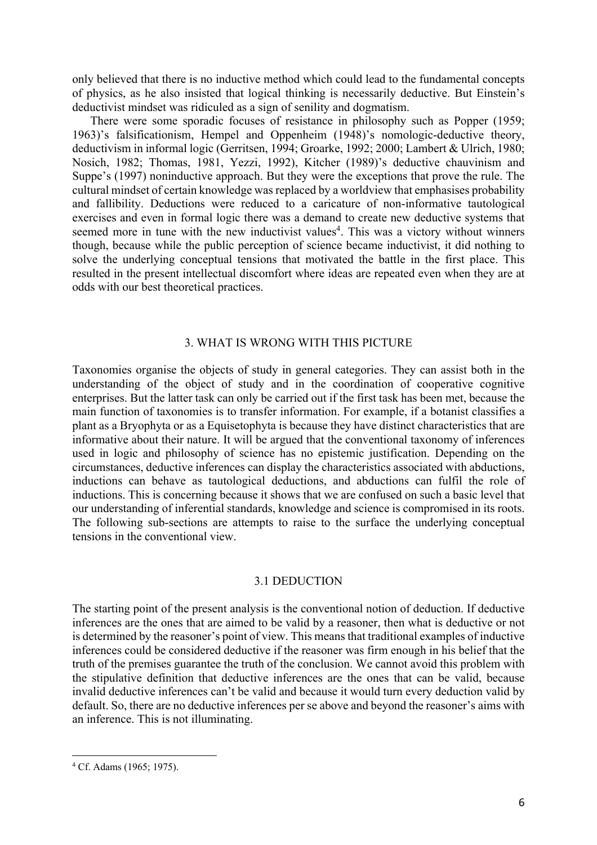only believed that there is no inductive method which could lead to the fundamental concepts of physics, as he also insisted that logical thinking is necessarily deductive. But Einstein's deductivist mindset was ridiculed as a sign of senility and dogmatism.

There were some sporadic focuses of resistance in philosophy such as Popper (1959; 1963)'s falsificationism, Hempel and Oppenheim (1948)'s nomologic-deductive theory, deductivism in informal logic (Gerritsen, 1994; Groarke, 1992; 2000; Lambert & Ulrich, 1980; Nosich, 1982; Thomas, 1981, Yezzi, 1992), Kitcher (1989)'s deductive chauvinism and Suppe's (1997) noninductive approach. But they were the exceptions that prove the rule. The cultural mindset of certain knowledge was replaced by a worldview that emphasises probability and fallibility. Deductions were reduced to a caricature of non-informative tautological exercises and even in formal logic there was a demand to create new deductive systems that seemed more in tune with the new inductivist values<sup>4</sup>. This was a victory without winners though, because while the public perception of science became inductivist, it did nothing to solve the underlying conceptual tensions that motivated the battle in the first place. This resulted in the present intellectual discomfort where ideas are repeated even when they are at odds with our best theoretical practices.

## 3. WHAT IS WRONG WITH THIS PICTURE

Taxonomies organise the objects of study in general categories. They can assist both in the understanding of the object of study and in the coordination of cooperative cognitive enterprises. But the latter task can only be carried out if the first task has been met, because the main function of taxonomies is to transfer information. For example, if a botanist classifies a plant as a Bryophyta or as a Equisetophyta is because they have distinct characteristics that are informative about their nature. It will be argued that the conventional taxonomy of inferences used in logic and philosophy of science has no epistemic justification. Depending on the circumstances, deductive inferences can display the characteristics associated with abductions, inductions can behave as tautological deductions, and abductions can fulfil the role of inductions. This is concerning because it shows that we are confused on such a basic level that our understanding of inferential standards, knowledge and science is compromised in its roots. The following sub-sections are attempts to raise to the surface the underlying conceptual tensions in the conventional view.

## 3.1 DEDUCTION

The starting point of the present analysis is the conventional notion of deduction. If deductive inferences are the ones that are aimed to be valid by a reasoner, then what is deductive or not is determined by the reasoner's point of view. This means that traditional examples of inductive inferences could be considered deductive if the reasoner was firm enough in his belief that the truth of the premises guarantee the truth of the conclusion. We cannot avoid this problem with the stipulative definition that deductive inferences are the ones that can be valid, because invalid deductive inferences can't be valid and because it would turn every deduction valid by default. So, there are no deductive inferences per se above and beyond the reasoner's aims with an inference. This is not illuminating.

<sup>4</sup> Cf. Adams (1965; 1975).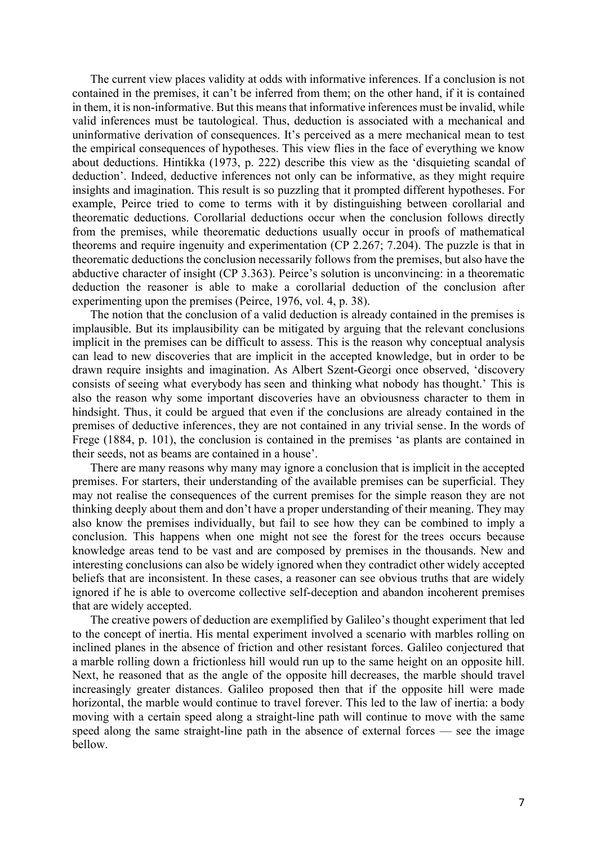The current view places validity at odds with informative inferences. If a conclusion is not contained in the premises, it can't be inferred from them; on the other hand, if it is contained in them, it is non-informative. But this means that informative inferences must be invalid, while valid inferences must be tautological. Thus, deduction is associated with a mechanical and uninformative derivation of consequences. It's perceived as a mere mechanical mean to test the empirical consequences of hypotheses. This view flies in the face of everything we know about deductions. Hintikka (1973, p. 222) describe this view as the 'disquieting scandal of deduction'. Indeed, deductive inferences not only can be informative, as they might require insights and imagination. This result is so puzzling that it prompted different hypotheses. For example, Peirce tried to come to terms with it by distinguishing between corollarial and theorematic deductions. Corollarial deductions occur when the conclusion follows directly from the premises, while theorematic deductions usually occur in proofs of mathematical theorems and require ingenuity and experimentation (CP 2.267; 7.204). The puzzle is that in theorematic deductions the conclusion necessarily follows from the premises, but also have the abductive character of insight (CP 3.363). Peirce's solution is unconvincing: in a theorematic deduction the reasoner is able to make a corollarial deduction of the conclusion after experimenting upon the premises (Peirce, 1976, vol. 4, p. 38).

The notion that the conclusion of a valid deduction is already contained in the premises is implausible. But its implausibility can be mitigated by arguing that the relevant conclusions implicit in the premises can be difficult to assess. This is the reason why conceptual analysis can lead to new discoveries that are implicit in the accepted knowledge, but in order to be drawn require insights and imagination. As Albert Szent-Georgi once observed, 'discovery consists of seeing what everybody has seen and thinking what nobody has thought.' This is also the reason why some important discoveries have an obviousness character to them in hindsight. Thus, it could be argued that even if the conclusions are already contained in the premises of deductive inferences, they are not contained in any trivial sense. In the words of Frege (1884, p. 101), the conclusion is contained in the premises 'as plants are contained in their seeds, not as beams are contained in a house'.

There are many reasons why many may ignore a conclusion that is implicit in the accepted premises. For starters, their understanding of the available premises can be superficial. They may not realise the consequences of the current premises for the simple reason they are not thinking deeply about them and don't have a proper understanding of their meaning. They may also know the premises individually, but fail to see how they can be combined to imply a conclusion. This happens when one might not see the forest for the trees occurs because knowledge areas tend to be vast and are composed by premises in the thousands. New and interesting conclusions can also be widely ignored when they contradict other widely accepted beliefs that are inconsistent. In these cases, a reasoner can see obvious truths that are widely ignored if he is able to overcome collective self-deception and abandon incoherent premises that are widely accepted.

The creative powers of deduction are exemplified by Galileo's thought experiment that led to the concept of inertia. His mental experiment involved a scenario with marbles rolling on inclined planes in the absence of friction and other resistant forces. Galileo conjectured that a marble rolling down a frictionless hill would run up to the same height on an opposite hill. Next, he reasoned that as the angle of the opposite hill decreases, the marble should travel increasingly greater distances. Galileo proposed then that if the opposite hill were made horizontal, the marble would continue to travel forever. This led to the law of inertia: a body moving with a certain speed along a straight-line path will continue to move with the same speed along the same straight-line path in the absence of external forces — see the image bellow.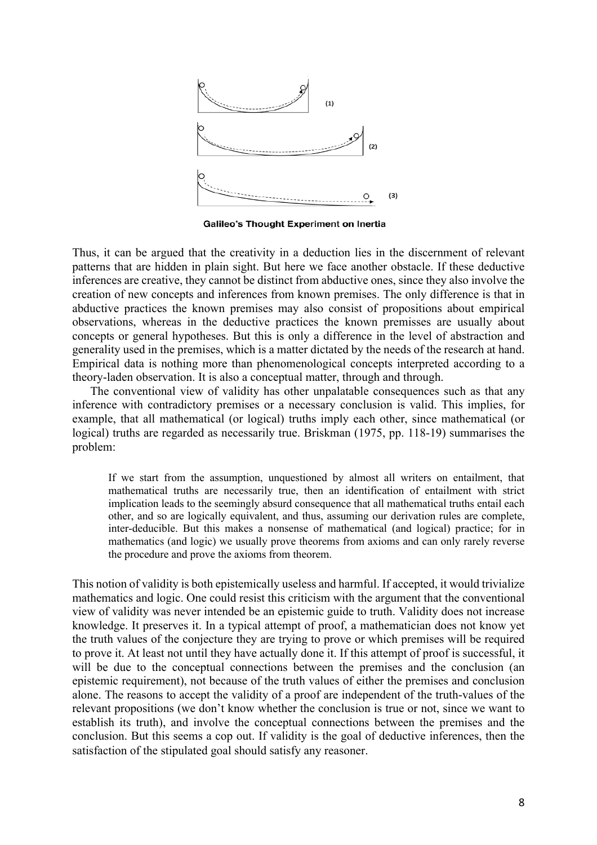

Galileo's Thought Experiment on Inertia

Thus, it can be argued that the creativity in a deduction lies in the discernment of relevant patterns that are hidden in plain sight. But here we face another obstacle. If these deductive inferences are creative, they cannot be distinct from abductive ones, since they also involve the creation of new concepts and inferences from known premises. The only difference is that in abductive practices the known premises may also consist of propositions about empirical observations, whereas in the deductive practices the known premisses are usually about concepts or general hypotheses. But this is only a difference in the level of abstraction and generality used in the premises, which is a matter dictated by the needs of the research at hand. Empirical data is nothing more than phenomenological concepts interpreted according to a theory-laden observation. It is also a conceptual matter, through and through.

The conventional view of validity has other unpalatable consequences such as that any inference with contradictory premises or a necessary conclusion is valid. This implies, for example, that all mathematical (or logical) truths imply each other, since mathematical (or logical) truths are regarded as necessarily true. Briskman (1975, pp. 118-19) summarises the problem:

If we start from the assumption, unquestioned by almost all writers on entailment, that mathematical truths are necessarily true, then an identification of entailment with strict implication leads to the seemingly absurd consequence that all mathematical truths entail each other, and so are logically equivalent, and thus, assuming our derivation rules are complete, inter-deducible. But this makes a nonsense of mathematical (and logical) practice; for in mathematics (and logic) we usually prove theorems from axioms and can only rarely reverse the procedure and prove the axioms from theorem.

This notion of validity is both epistemically useless and harmful. If accepted, it would trivialize mathematics and logic. One could resist this criticism with the argument that the conventional view of validity was never intended be an epistemic guide to truth. Validity does not increase knowledge. It preserves it. In a typical attempt of proof, a mathematician does not know yet the truth values of the conjecture they are trying to prove or which premises will be required to prove it. At least not until they have actually done it. If this attempt of proof is successful, it will be due to the conceptual connections between the premises and the conclusion (an epistemic requirement), not because of the truth values of either the premises and conclusion alone. The reasons to accept the validity of a proof are independent of the truth-values of the relevant propositions (we don't know whether the conclusion is true or not, since we want to establish its truth), and involve the conceptual connections between the premises and the conclusion. But this seems a cop out. If validity is the goal of deductive inferences, then the satisfaction of the stipulated goal should satisfy any reasoner.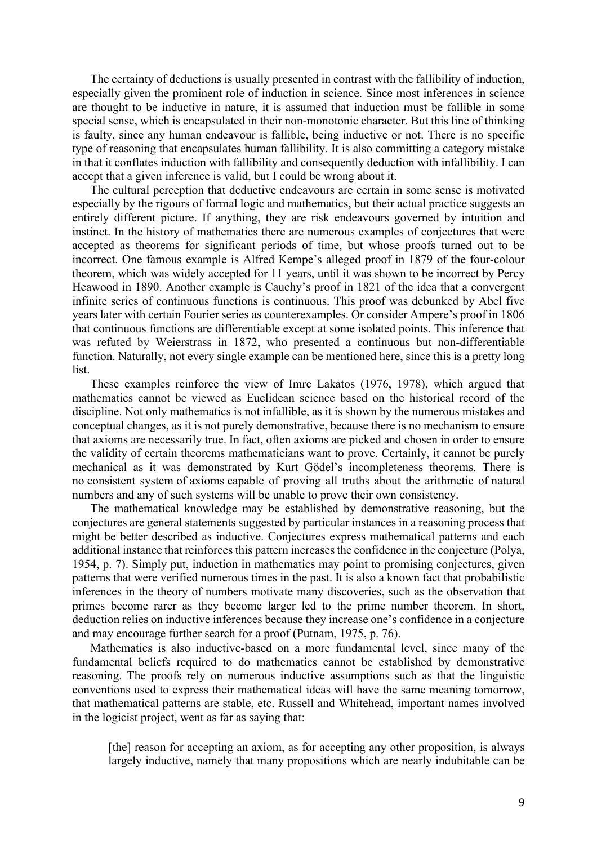The certainty of deductions is usually presented in contrast with the fallibility of induction, especially given the prominent role of induction in science. Since most inferences in science are thought to be inductive in nature, it is assumed that induction must be fallible in some special sense, which is encapsulated in their non-monotonic character. But this line of thinking is faulty, since any human endeavour is fallible, being inductive or not. There is no specific type of reasoning that encapsulates human fallibility. It is also committing a category mistake in that it conflates induction with fallibility and consequently deduction with infallibility. I can accept that a given inference is valid, but I could be wrong about it.

The cultural perception that deductive endeavours are certain in some sense is motivated especially by the rigours of formal logic and mathematics, but their actual practice suggests an entirely different picture. If anything, they are risk endeavours governed by intuition and instinct. In the history of mathematics there are numerous examples of conjectures that were accepted as theorems for significant periods of time, but whose proofs turned out to be incorrect. One famous example is Alfred Kempe's alleged proof in 1879 of the four-colour theorem, which was widely accepted for 11 years, until it was shown to be incorrect by Percy Heawood in 1890. Another example is Cauchy's proof in 1821 of the idea that a convergent infinite series of continuous functions is continuous. This proof was debunked by Abel five years later with certain Fourier series as counterexamples. Or consider Ampere's proof in 1806 that continuous functions are differentiable except at some isolated points. This inference that was refuted by Weierstrass in 1872, who presented a continuous but non-differentiable function. Naturally, not every single example can be mentioned here, since this is a pretty long list.

These examples reinforce the view of Imre Lakatos (1976, 1978), which argued that mathematics cannot be viewed as Euclidean science based on the historical record of the discipline. Not only mathematics is not infallible, as it is shown by the numerous mistakes and conceptual changes, as it is not purely demonstrative, because there is no mechanism to ensure that axioms are necessarily true. In fact, often axioms are picked and chosen in order to ensure the validity of certain theorems mathematicians want to prove. Certainly, it cannot be purely mechanical as it was demonstrated by Kurt Gödel's incompleteness theorems. There is no consistent system of axioms capable of proving all truths about the arithmetic of natural numbers and any of such systems will be unable to prove their own consistency.

The mathematical knowledge may be established by demonstrative reasoning, but the conjectures are general statements suggested by particular instances in a reasoning process that might be better described as inductive. Conjectures express mathematical patterns and each additional instance that reinforces this pattern increases the confidence in the conjecture (Polya, 1954, p. 7). Simply put, induction in mathematics may point to promising conjectures, given patterns that were verified numerous times in the past. It is also a known fact that probabilistic inferences in the theory of numbers motivate many discoveries, such as the observation that primes become rarer as they become larger led to the prime number theorem. In short, deduction relies on inductive inferences because they increase one's confidence in a conjecture and may encourage further search for a proof (Putnam, 1975, p. 76).

Mathematics is also inductive-based on a more fundamental level, since many of the fundamental beliefs required to do mathematics cannot be established by demonstrative reasoning. The proofs rely on numerous inductive assumptions such as that the linguistic conventions used to express their mathematical ideas will have the same meaning tomorrow, that mathematical patterns are stable, etc. Russell and Whitehead, important names involved in the logicist project, went as far as saying that:

[the] reason for accepting an axiom, as for accepting any other proposition, is always largely inductive, namely that many propositions which are nearly indubitable can be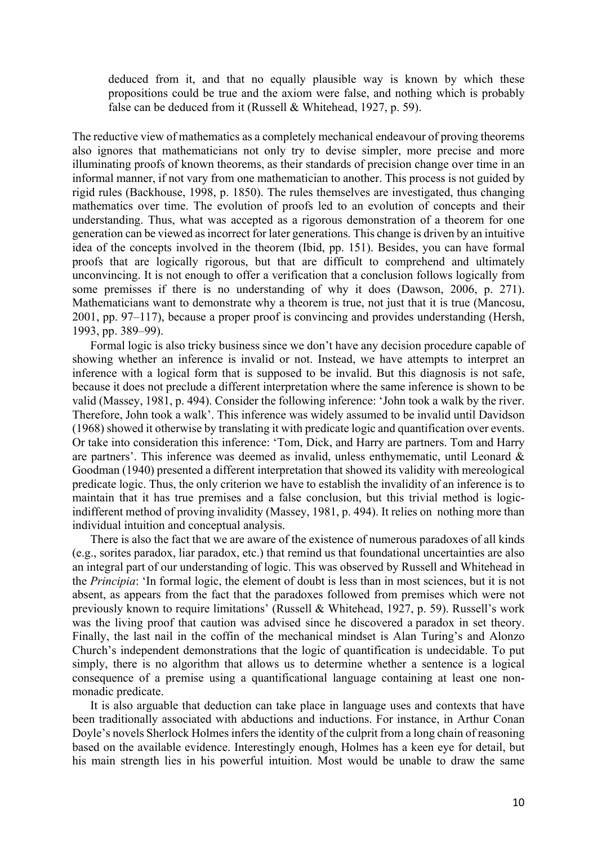deduced from it, and that no equally plausible way is known by which these propositions could be true and the axiom were false, and nothing which is probably false can be deduced from it (Russell & Whitehead, 1927, p. 59).

The reductive view of mathematics as a completely mechanical endeavour of proving theorems also ignores that mathematicians not only try to devise simpler, more precise and more illuminating proofs of known theorems, as their standards of precision change over time in an informal manner, if not vary from one mathematician to another. This process is not guided by rigid rules (Backhouse, 1998, p. 1850). The rules themselves are investigated, thus changing mathematics over time. The evolution of proofs led to an evolution of concepts and their understanding. Thus, what was accepted as a rigorous demonstration of a theorem for one generation can be viewed as incorrect for later generations. This change is driven by an intuitive idea of the concepts involved in the theorem (Ibid, pp. 151). Besides, you can have formal proofs that are logically rigorous, but that are difficult to comprehend and ultimately unconvincing. It is not enough to offer a verification that a conclusion follows logically from some premisses if there is no understanding of why it does (Dawson, 2006, p. 271). Mathematicians want to demonstrate why a theorem is true, not just that it is true (Mancosu, 2001, pp. 97–117), because a proper proof is convincing and provides understanding (Hersh, 1993, pp. 389–99).

Formal logic is also tricky business since we don't have any decision procedure capable of showing whether an inference is invalid or not. Instead, we have attempts to interpret an inference with a logical form that is supposed to be invalid. But this diagnosis is not safe, because it does not preclude a different interpretation where the same inference is shown to be valid (Massey, 1981, p. 494). Consider the following inference: 'John took a walk by the river. Therefore, John took a walk'. This inference was widely assumed to be invalid until Davidson (1968) showed it otherwise by translating it with predicate logic and quantification over events. Or take into consideration this inference: 'Tom, Dick, and Harry are partners. Tom and Harry are partners'. This inference was deemed as invalid, unless enthymematic, until Leonard & Goodman (1940) presented a different interpretation that showed its validity with mereological predicate logic. Thus, the only criterion we have to establish the invalidity of an inference is to maintain that it has true premises and a false conclusion, but this trivial method is logicindifferent method of proving invalidity (Massey, 1981, p. 494). It relies on nothing more than individual intuition and conceptual analysis.

There is also the fact that we are aware of the existence of numerous paradoxes of all kinds (e.g., sorites paradox, liar paradox, etc.) that remind us that foundational uncertainties are also an integral part of our understanding of logic. This was observed by Russell and Whitehead in the *Principia*: 'In formal logic, the element of doubt is less than in most sciences, but it is not absent, as appears from the fact that the paradoxes followed from premises which were not previously known to require limitations' (Russell & Whitehead, 1927, p. 59). Russell's work was the living proof that caution was advised since he discovered a paradox in set theory. Finally, the last nail in the coffin of the mechanical mindset is Alan Turing's and Alonzo Church's independent demonstrations that the logic of quantification is undecidable. To put simply, there is no algorithm that allows us to determine whether a sentence is a logical consequence of a premise using a quantificational language containing at least one nonmonadic predicate.

It is also arguable that deduction can take place in language uses and contexts that have been traditionally associated with abductions and inductions. For instance, in Arthur Conan Doyle's novels Sherlock Holmes infers the identity of the culprit from a long chain of reasoning based on the available evidence. Interestingly enough, Holmes has a keen eye for detail, but his main strength lies in his powerful intuition. Most would be unable to draw the same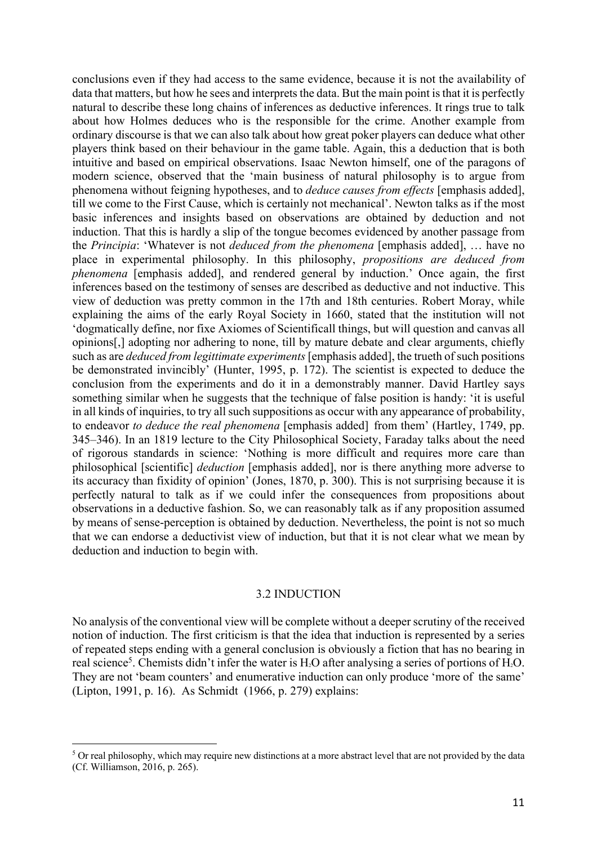conclusions even if they had access to the same evidence, because it is not the availability of data that matters, but how he sees and interprets the data. But the main point is that it is perfectly natural to describe these long chains of inferences as deductive inferences. It rings true to talk about how Holmes deduces who is the responsible for the crime. Another example from ordinary discourse is that we can also talk about how great poker players can deduce what other players think based on their behaviour in the game table. Again, this a deduction that is both intuitive and based on empirical observations. Isaac Newton himself, one of the paragons of modern science, observed that the 'main business of natural philosophy is to argue from phenomena without feigning hypotheses, and to *deduce causes from effects* [emphasis added], till we come to the First Cause, which is certainly not mechanical'. Newton talks as if the most basic inferences and insights based on observations are obtained by deduction and not induction. That this is hardly a slip of the tongue becomes evidenced by another passage from the *Principia*: 'Whatever is not *deduced from the phenomena* [emphasis added], … have no place in experimental philosophy. In this philosophy, *propositions are deduced from phenomena* [emphasis added], and rendered general by induction.' Once again, the first inferences based on the testimony of senses are described as deductive and not inductive. This view of deduction was pretty common in the 17th and 18th centuries. Robert Moray, while explaining the aims of the early Royal Society in 1660, stated that the institution will not 'dogmatically define, nor fixe Axiomes of Scientificall things, but will question and canvas all opinions[,] adopting nor adhering to none, till by mature debate and clear arguments, chiefly such as are *deduced from legittimate experiments*[emphasis added], the trueth of such positions be demonstrated invincibly' (Hunter, 1995, p. 172). The scientist is expected to deduce the conclusion from the experiments and do it in a demonstrably manner. David Hartley says something similar when he suggests that the technique of false position is handy: 'it is useful in all kinds of inquiries, to try all such suppositions as occur with any appearance of probability, to endeavor *to deduce the real phenomena* [emphasis added] from them' (Hartley, 1749, pp. 345–346). In an 1819 lecture to the City Philosophical Society, Faraday talks about the need of rigorous standards in science: 'Nothing is more difficult and requires more care than philosophical [scientific] *deduction* [emphasis added], nor is there anything more adverse to its accuracy than fixidity of opinion' (Jones, 1870, p. 300). This is not surprising because it is perfectly natural to talk as if we could infer the consequences from propositions about observations in a deductive fashion. So, we can reasonably talk as if any proposition assumed by means of sense-perception is obtained by deduction. Nevertheless, the point is not so much that we can endorse a deductivist view of induction, but that it is not clear what we mean by deduction and induction to begin with.

## 3.2 INDUCTION

No analysis of the conventional view will be complete without a deeper scrutiny of the received notion of induction. The first criticism is that the idea that induction is represented by a series of repeated steps ending with a general conclusion is obviously a fiction that has no bearing in real science<sup>5</sup>. Chemists didn't infer the water is  $H_2O$  after analysing a series of portions of  $H_2O$ . They are not 'beam counters' and enumerative induction can only produce 'more of the same' (Lipton, 1991, p. 16). As Schmidt (1966, p. 279) explains:

<sup>&</sup>lt;sup>5</sup> Or real philosophy, which may require new distinctions at a more abstract level that are not provided by the data (Cf. Williamson, 2016, p. 265).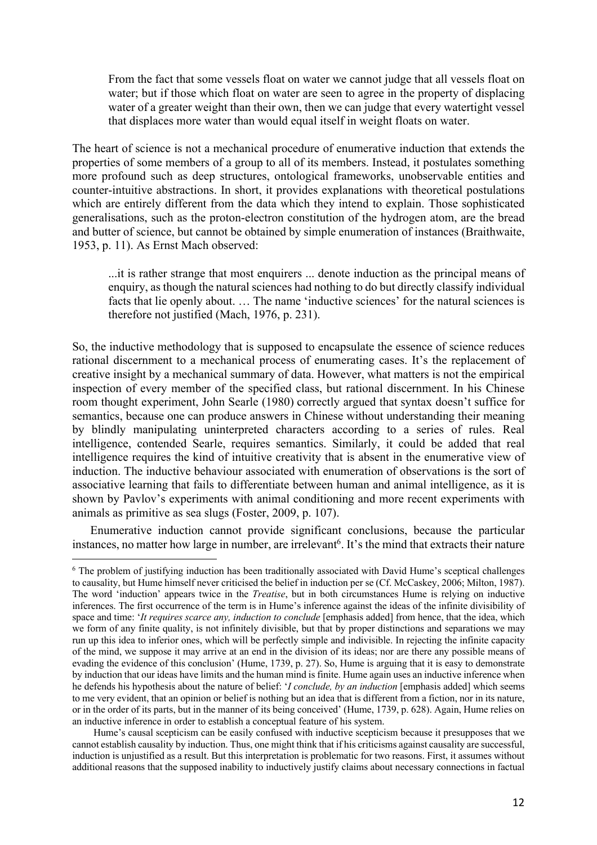From the fact that some vessels float on water we cannot judge that all vessels float on water; but if those which float on water are seen to agree in the property of displacing water of a greater weight than their own, then we can judge that every watertight vessel that displaces more water than would equal itself in weight floats on water.

The heart of science is not a mechanical procedure of enumerative induction that extends the properties of some members of a group to all of its members. Instead, it postulates something more profound such as deep structures, ontological frameworks, unobservable entities and counter-intuitive abstractions. In short, it provides explanations with theoretical postulations which are entirely different from the data which they intend to explain. Those sophisticated generalisations, such as the proton-electron constitution of the hydrogen atom, are the bread and butter of science, but cannot be obtained by simple enumeration of instances (Braithwaite, 1953, p. 11). As Ernst Mach observed:

...it is rather strange that most enquirers ... denote induction as the principal means of enquiry, as though the natural sciences had nothing to do but directly classify individual facts that lie openly about. … The name 'inductive sciences' for the natural sciences is therefore not justified (Mach, 1976, p. 231).

So, the inductive methodology that is supposed to encapsulate the essence of science reduces rational discernment to a mechanical process of enumerating cases. It's the replacement of creative insight by a mechanical summary of data. However, what matters is not the empirical inspection of every member of the specified class, but rational discernment. In his Chinese room thought experiment, John Searle (1980) correctly argued that syntax doesn't suffice for semantics, because one can produce answers in Chinese without understanding their meaning by blindly manipulating uninterpreted characters according to a series of rules. Real intelligence, contended Searle, requires semantics. Similarly, it could be added that real intelligence requires the kind of intuitive creativity that is absent in the enumerative view of induction. The inductive behaviour associated with enumeration of observations is the sort of associative learning that fails to differentiate between human and animal intelligence, as it is shown by Pavlov's experiments with animal conditioning and more recent experiments with animals as primitive as sea slugs (Foster, 2009, p. 107).

Enumerative induction cannot provide significant conclusions, because the particular instances, no matter how large in number, are irrelevant<sup>6</sup>. It's the mind that extracts their nature

<sup>6</sup> The problem of justifying induction has been traditionally associated with David Hume's sceptical challenges to causality, but Hume himself never criticised the belief in induction per se (Cf. McCaskey, 2006; Milton, 1987). The word 'induction' appears twice in the *Treatise*, but in both circumstances Hume is relying on inductive inferences. The first occurrence of the term is in Hume's inference against the ideas of the infinite divisibility of space and time: '*It requires scarce any, induction to conclude* [emphasis added] from hence, that the idea, which we form of any finite quality, is not infinitely divisible, but that by proper distinctions and separations we may run up this idea to inferior ones, which will be perfectly simple and indivisible. In rejecting the infinite capacity of the mind, we suppose it may arrive at an end in the division of its ideas; nor are there any possible means of evading the evidence of this conclusion' (Hume, 1739, p. 27). So, Hume is arguing that it is easy to demonstrate by induction that our ideas have limits and the human mind is finite. Hume again uses an inductive inference when he defends his hypothesis about the nature of belief: '*I conclude, by an induction* [emphasis added] which seems to me very evident, that an opinion or belief is nothing but an idea that is different from a fiction, nor in its nature, or in the order of its parts, but in the manner of its being conceived' (Hume, 1739, p. 628). Again, Hume relies on an inductive inference in order to establish a conceptual feature of his system.

Hume's causal scepticism can be easily confused with inductive scepticism because it presupposes that we cannot establish causality by induction. Thus, one might think that if his criticisms against causality are successful, induction is unjustified as a result. But this interpretation is problematic for two reasons. First, it assumes without additional reasons that the supposed inability to inductively justify claims about necessary connections in factual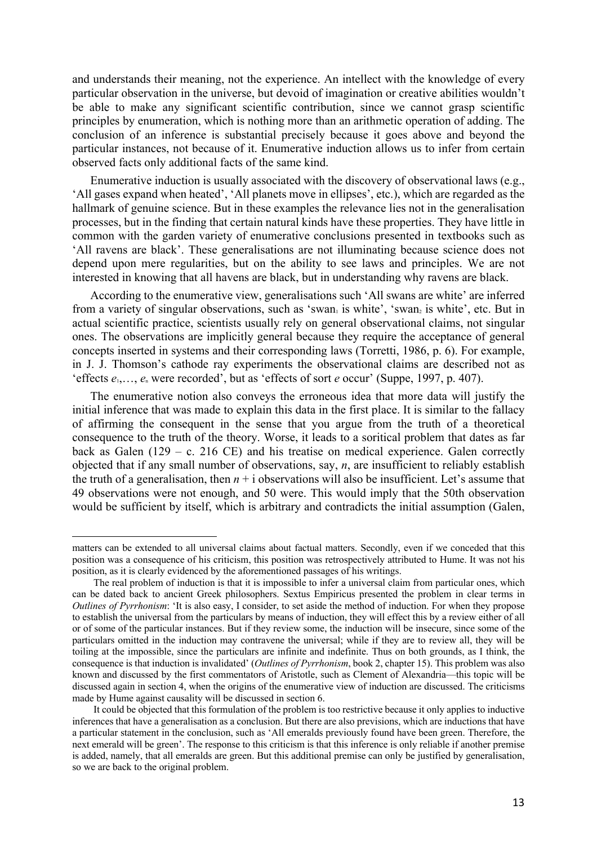and understands their meaning, not the experience. An intellect with the knowledge of every particular observation in the universe, but devoid of imagination or creative abilities wouldn't be able to make any significant scientific contribution, since we cannot grasp scientific principles by enumeration, which is nothing more than an arithmetic operation of adding. The conclusion of an inference is substantial precisely because it goes above and beyond the particular instances, not because of it. Enumerative induction allows us to infer from certain observed facts only additional facts of the same kind.

Enumerative induction is usually associated with the discovery of observational laws (e.g., 'All gases expand when heated', 'All planets move in ellipses', etc.), which are regarded as the hallmark of genuine science. But in these examples the relevance lies not in the generalisation processes, but in the finding that certain natural kinds have these properties. They have little in common with the garden variety of enumerative conclusions presented in textbooks such as 'All ravens are black'. These generalisations are not illuminating because science does not depend upon mere regularities, but on the ability to see laws and principles. We are not interested in knowing that all havens are black, but in understanding why ravens are black.

According to the enumerative view, generalisations such 'All swans are white' are inferred from a variety of singular observations, such as 'swan<sub>1</sub> is white', 'swan<sub>2</sub> is white', etc. But in actual scientific practice, scientists usually rely on general observational claims, not singular ones. The observations are implicitly general because they require the acceptance of general concepts inserted in systems and their corresponding laws (Torretti, 1986, p. 6). For example, in J. J. Thomson's cathode ray experiments the observational claims are described not as 'effects *e*1,…, *e*<sup>n</sup> were recorded', but as 'effects of sort *e* occur' (Suppe, 1997, p. 407).

The enumerative notion also conveys the erroneous idea that more data will justify the initial inference that was made to explain this data in the first place. It is similar to the fallacy of affirming the consequent in the sense that you argue from the truth of a theoretical consequence to the truth of the theory. Worse, it leads to a soritical problem that dates as far back as Galen (129 – c. 216 CE) and his treatise on medical experience. Galen correctly objected that if any small number of observations, say, *n*, are insufficient to reliably establish the truth of a generalisation, then  $n + i$  observations will also be insufficient. Let's assume that 49 observations were not enough, and 50 were. This would imply that the 50th observation would be sufficient by itself, which is arbitrary and contradicts the initial assumption (Galen,

matters can be extended to all universal claims about factual matters. Secondly, even if we conceded that this position was a consequence of his criticism, this position was retrospectively attributed to Hume. It was not his position, as it is clearly evidenced by the aforementioned passages of his writings.

The real problem of induction is that it is impossible to infer a universal claim from particular ones, which can be dated back to ancient Greek philosophers. Sextus Empiricus presented the problem in clear terms in *Outlines of Pyrrhonism*: 'It is also easy, I consider, to set aside the method of induction. For when they propose to establish the universal from the particulars by means of induction, they will effect this by a review either of all or of some of the particular instances. But if they review some, the induction will be insecure, since some of the particulars omitted in the induction may contravene the universal; while if they are to review all, they will be toiling at the impossible, since the particulars are infinite and indefinite. Thus on both grounds, as I think, the consequence is that induction is invalidated' (*Outlines of Pyrrhonism*, book 2, chapter 15). This problem was also known and discussed by the first commentators of Aristotle, such as Clement of Alexandria—this topic will be discussed again in section 4, when the origins of the enumerative view of induction are discussed. The criticisms made by Hume against causality will be discussed in section 6.

It could be objected that this formulation of the problem is too restrictive because it only applies to inductive inferences that have a generalisation as a conclusion. But there are also previsions, which are inductions that have a particular statement in the conclusion, such as 'All emeralds previously found have been green. Therefore, the next emerald will be green'. The response to this criticism is that this inference is only reliable if another premise is added, namely, that all emeralds are green. But this additional premise can only be justified by generalisation, so we are back to the original problem.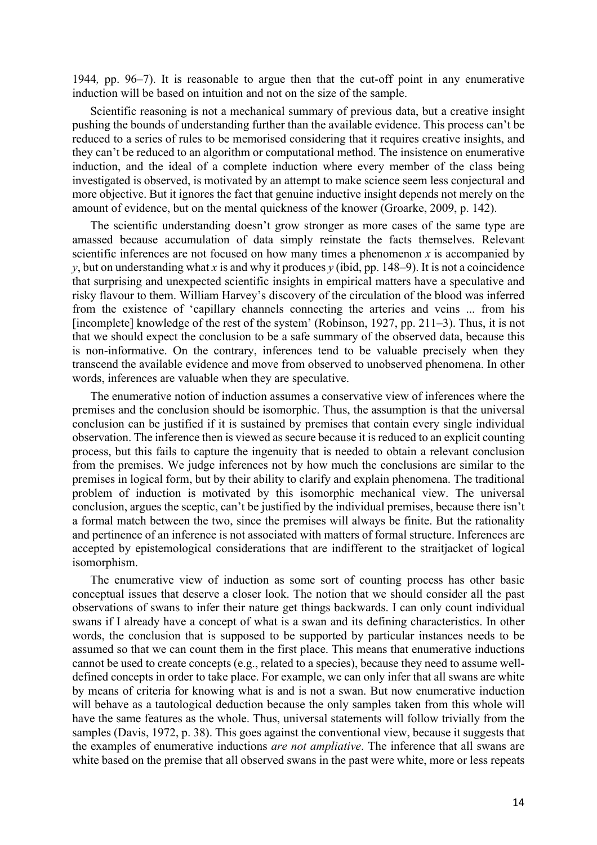1944*,* pp. 96–7). It is reasonable to argue then that the cut-off point in any enumerative induction will be based on intuition and not on the size of the sample.

Scientific reasoning is not a mechanical summary of previous data, but a creative insight pushing the bounds of understanding further than the available evidence. This process can't be reduced to a series of rules to be memorised considering that it requires creative insights, and they can't be reduced to an algorithm or computational method. The insistence on enumerative induction, and the ideal of a complete induction where every member of the class being investigated is observed, is motivated by an attempt to make science seem less conjectural and more objective. But it ignores the fact that genuine inductive insight depends not merely on the amount of evidence, but on the mental quickness of the knower (Groarke, 2009, p. 142).

The scientific understanding doesn't grow stronger as more cases of the same type are amassed because accumulation of data simply reinstate the facts themselves. Relevant scientific inferences are not focused on how many times a phenomenon  $x$  is accompanied by *y*, but on understanding what *x* is and why it produces *y* (ibid, pp. 148–9). It is not a coincidence that surprising and unexpected scientific insights in empirical matters have a speculative and risky flavour to them. William Harvey's discovery of the circulation of the blood was inferred from the existence of 'capillary channels connecting the arteries and veins ... from his [incomplete] knowledge of the rest of the system' (Robinson, 1927, pp. 211–3). Thus, it is not that we should expect the conclusion to be a safe summary of the observed data, because this is non-informative. On the contrary, inferences tend to be valuable precisely when they transcend the available evidence and move from observed to unobserved phenomena. In other words, inferences are valuable when they are speculative.

The enumerative notion of induction assumes a conservative view of inferences where the premises and the conclusion should be isomorphic. Thus, the assumption is that the universal conclusion can be justified if it is sustained by premises that contain every single individual observation. The inference then is viewed as secure because it is reduced to an explicit counting process, but this fails to capture the ingenuity that is needed to obtain a relevant conclusion from the premises. We judge inferences not by how much the conclusions are similar to the premises in logical form, but by their ability to clarify and explain phenomena. The traditional problem of induction is motivated by this isomorphic mechanical view. The universal conclusion, argues the sceptic, can't be justified by the individual premises, because there isn't a formal match between the two, since the premises will always be finite. But the rationality and pertinence of an inference is not associated with matters of formal structure. Inferences are accepted by epistemological considerations that are indifferent to the straitjacket of logical isomorphism.

The enumerative view of induction as some sort of counting process has other basic conceptual issues that deserve a closer look. The notion that we should consider all the past observations of swans to infer their nature get things backwards. I can only count individual swans if I already have a concept of what is a swan and its defining characteristics. In other words, the conclusion that is supposed to be supported by particular instances needs to be assumed so that we can count them in the first place. This means that enumerative inductions cannot be used to create concepts (e.g., related to a species), because they need to assume welldefined concepts in order to take place. For example, we can only infer that all swans are white by means of criteria for knowing what is and is not a swan. But now enumerative induction will behave as a tautological deduction because the only samples taken from this whole will have the same features as the whole. Thus, universal statements will follow trivially from the samples (Davis, 1972, p. 38). This goes against the conventional view, because it suggests that the examples of enumerative inductions *are not ampliative*. The inference that all swans are white based on the premise that all observed swans in the past were white, more or less repeats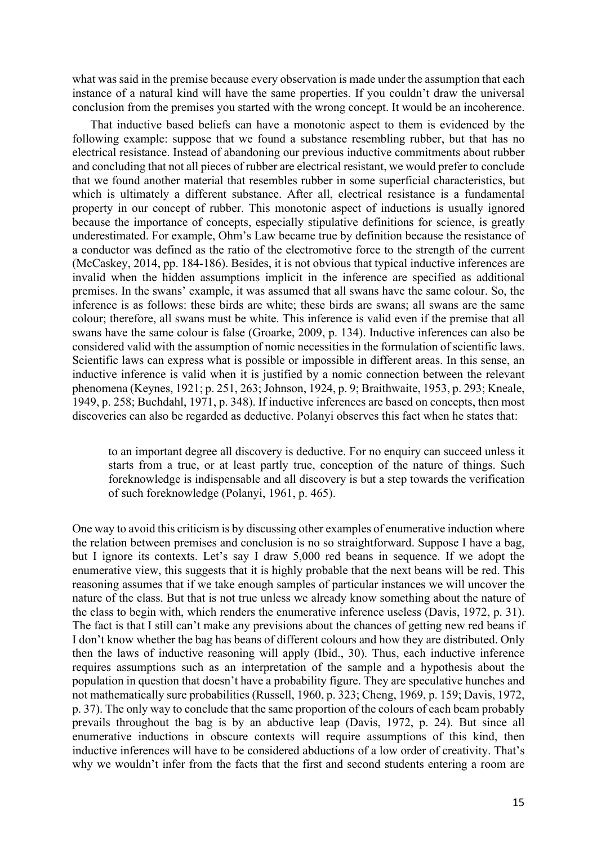what was said in the premise because every observation is made under the assumption that each instance of a natural kind will have the same properties. If you couldn't draw the universal conclusion from the premises you started with the wrong concept. It would be an incoherence.

That inductive based beliefs can have a monotonic aspect to them is evidenced by the following example: suppose that we found a substance resembling rubber, but that has no electrical resistance. Instead of abandoning our previous inductive commitments about rubber and concluding that not all pieces of rubber are electrical resistant, we would prefer to conclude that we found another material that resembles rubber in some superficial characteristics, but which is ultimately a different substance. After all, electrical resistance is a fundamental property in our concept of rubber. This monotonic aspect of inductions is usually ignored because the importance of concepts, especially stipulative definitions for science, is greatly underestimated. For example, Ohm's Law became true by definition because the resistance of a conductor was defined as the ratio of the electromotive force to the strength of the current (McCaskey, 2014, pp. 184-186). Besides, it is not obvious that typical inductive inferences are invalid when the hidden assumptions implicit in the inference are specified as additional premises. In the swans' example, it was assumed that all swans have the same colour. So, the inference is as follows: these birds are white; these birds are swans; all swans are the same colour; therefore, all swans must be white. This inference is valid even if the premise that all swans have the same colour is false (Groarke, 2009, p. 134). Inductive inferences can also be considered valid with the assumption of nomic necessities in the formulation of scientific laws. Scientific laws can express what is possible or impossible in different areas. In this sense, an inductive inference is valid when it is justified by a nomic connection between the relevant phenomena (Keynes, 1921; p. 251, 263; Johnson, 1924, p. 9; Braithwaite, 1953, p. 293; Kneale, 1949, p. 258; Buchdahl, 1971, p. 348). If inductive inferences are based on concepts, then most discoveries can also be regarded as deductive. Polanyi observes this fact when he states that:

to an important degree all discovery is deductive. For no enquiry can succeed unless it starts from a true, or at least partly true, conception of the nature of things. Such foreknowledge is indispensable and all discovery is but a step towards the verification of such foreknowledge (Polanyi, 1961, p. 465).

One way to avoid this criticism is by discussing other examples of enumerative induction where the relation between premises and conclusion is no so straightforward. Suppose I have a bag, but I ignore its contexts. Let's say I draw 5,000 red beans in sequence. If we adopt the enumerative view, this suggests that it is highly probable that the next beans will be red. This reasoning assumes that if we take enough samples of particular instances we will uncover the nature of the class. But that is not true unless we already know something about the nature of the class to begin with, which renders the enumerative inference useless (Davis, 1972, p. 31). The fact is that I still can't make any previsions about the chances of getting new red beans if I don't know whether the bag has beans of different colours and how they are distributed. Only then the laws of inductive reasoning will apply (Ibid., 30). Thus, each inductive inference requires assumptions such as an interpretation of the sample and a hypothesis about the population in question that doesn't have a probability figure. They are speculative hunches and not mathematically sure probabilities (Russell, 1960, p. 323; Cheng, 1969, p. 159; Davis, 1972, p. 37). The only way to conclude that the same proportion of the colours of each beam probably prevails throughout the bag is by an abductive leap (Davis, 1972, p. 24). But since all enumerative inductions in obscure contexts will require assumptions of this kind, then inductive inferences will have to be considered abductions of a low order of creativity. That's why we wouldn't infer from the facts that the first and second students entering a room are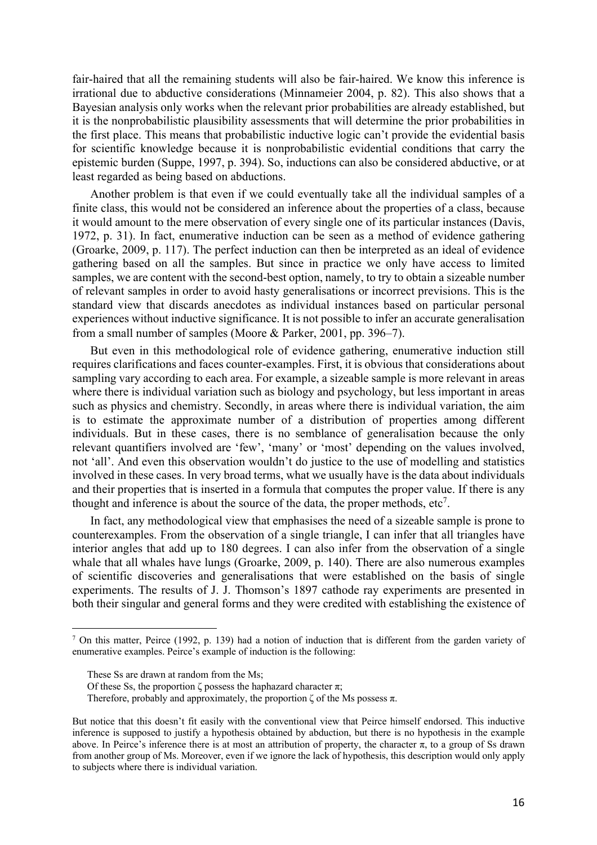fair-haired that all the remaining students will also be fair-haired. We know this inference is irrational due to abductive considerations (Minnameier 2004, p. 82). This also shows that a Bayesian analysis only works when the relevant prior probabilities are already established, but it is the nonprobabilistic plausibility assessments that will determine the prior probabilities in the first place. This means that probabilistic inductive logic can't provide the evidential basis for scientific knowledge because it is nonprobabilistic evidential conditions that carry the epistemic burden (Suppe, 1997, p. 394). So, inductions can also be considered abductive, or at least regarded as being based on abductions.

Another problem is that even if we could eventually take all the individual samples of a finite class, this would not be considered an inference about the properties of a class, because it would amount to the mere observation of every single one of its particular instances (Davis, 1972, p. 31). In fact, enumerative induction can be seen as a method of evidence gathering (Groarke, 2009, p. 117). The perfect induction can then be interpreted as an ideal of evidence gathering based on all the samples. But since in practice we only have access to limited samples, we are content with the second-best option, namely, to try to obtain a sizeable number of relevant samples in order to avoid hasty generalisations or incorrect previsions. This is the standard view that discards anecdotes as individual instances based on particular personal experiences without inductive significance. It is not possible to infer an accurate generalisation from a small number of samples (Moore & Parker, 2001, pp. 396–7).

But even in this methodological role of evidence gathering, enumerative induction still requires clarifications and faces counter-examples. First, it is obvious that considerations about sampling vary according to each area. For example, a sizeable sample is more relevant in areas where there is individual variation such as biology and psychology, but less important in areas such as physics and chemistry. Secondly, in areas where there is individual variation, the aim is to estimate the approximate number of a distribution of properties among different individuals. But in these cases, there is no semblance of generalisation because the only relevant quantifiers involved are 'few', 'many' or 'most' depending on the values involved, not 'all'. And even this observation wouldn't do justice to the use of modelling and statistics involved in these cases. In very broad terms, what we usually have is the data about individuals and their properties that is inserted in a formula that computes the proper value. If there is any thought and inference is about the source of the data, the proper methods,  $etc<sup>7</sup>$ .

In fact, any methodological view that emphasises the need of a sizeable sample is prone to counterexamples. From the observation of a single triangle, I can infer that all triangles have interior angles that add up to 180 degrees. I can also infer from the observation of a single whale that all whales have lungs (Groarke, 2009, p. 140). There are also numerous examples of scientific discoveries and generalisations that were established on the basis of single experiments. The results of J. J. Thomson's 1897 cathode ray experiments are presented in both their singular and general forms and they were credited with establishing the existence of

<sup>&</sup>lt;sup>7</sup> On this matter, Peirce (1992, p. 139) had a notion of induction that is different from the garden variety of enumerative examples. Peirce's example of induction is the following:

These Ss are drawn at random from the Ms;

Of these Ss, the proportion  $\zeta$  possess the haphazard character  $\pi$ ;

Therefore, probably and approximately, the proportion  $\zeta$  of the Ms possess  $\pi$ .

But notice that this doesn't fit easily with the conventional view that Peirce himself endorsed. This inductive inference is supposed to justify a hypothesis obtained by abduction, but there is no hypothesis in the example above. In Peirce's inference there is at most an attribution of property, the character  $\pi$ , to a group of Ss drawn from another group of Ms. Moreover, even if we ignore the lack of hypothesis, this description would only apply to subjects where there is individual variation.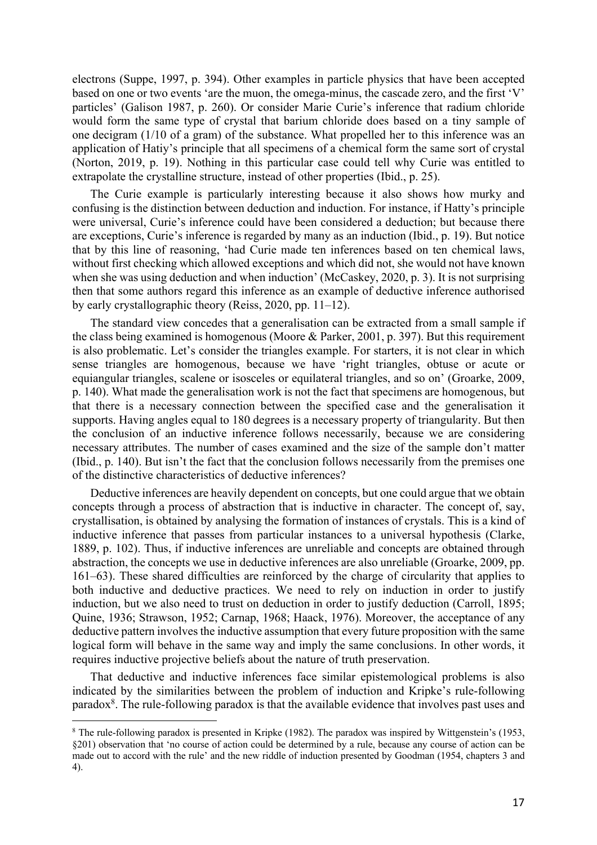electrons (Suppe, 1997, p. 394). Other examples in particle physics that have been accepted based on one or two events 'are the muon, the omega-minus, the cascade zero, and the first 'V' particles' (Galison 1987, p. 260). Or consider Marie Curie's inference that radium chloride would form the same type of crystal that barium chloride does based on a tiny sample of one decigram (1/10 of a gram) of the substance. What propelled her to this inference was an application of Hatiy's principle that all specimens of a chemical form the same sort of crystal (Norton, 2019, p. 19). Nothing in this particular case could tell why Curie was entitled to extrapolate the crystalline structure, instead of other properties (Ibid., p. 25).

The Curie example is particularly interesting because it also shows how murky and confusing is the distinction between deduction and induction. For instance, if Hatty's principle were universal, Curie's inference could have been considered a deduction; but because there are exceptions, Curie's inference is regarded by many as an induction (Ibid., p. 19). But notice that by this line of reasoning, 'had Curie made ten inferences based on ten chemical laws, without first checking which allowed exceptions and which did not, she would not have known when she was using deduction and when induction' (McCaskey, 2020, p. 3). It is not surprising then that some authors regard this inference as an example of deductive inference authorised by early crystallographic theory (Reiss, 2020, pp. 11–12).

The standard view concedes that a generalisation can be extracted from a small sample if the class being examined is homogenous (Moore & Parker, 2001, p. 397). But this requirement is also problematic. Let's consider the triangles example. For starters, it is not clear in which sense triangles are homogenous, because we have 'right triangles, obtuse or acute or equiangular triangles, scalene or isosceles or equilateral triangles, and so on' (Groarke, 2009, p. 140). What made the generalisation work is not the fact that specimens are homogenous, but that there is a necessary connection between the specified case and the generalisation it supports. Having angles equal to 180 degrees is a necessary property of triangularity. But then the conclusion of an inductive inference follows necessarily, because we are considering necessary attributes. The number of cases examined and the size of the sample don't matter (Ibid., p. 140). But isn't the fact that the conclusion follows necessarily from the premises one of the distinctive characteristics of deductive inferences?

Deductive inferences are heavily dependent on concepts, but one could argue that we obtain concepts through a process of abstraction that is inductive in character. The concept of, say, crystallisation, is obtained by analysing the formation of instances of crystals. This is a kind of inductive inference that passes from particular instances to a universal hypothesis (Clarke, 1889, p. 102). Thus, if inductive inferences are unreliable and concepts are obtained through abstraction, the concepts we use in deductive inferences are also unreliable (Groarke, 2009, pp. 161–63). These shared difficulties are reinforced by the charge of circularity that applies to both inductive and deductive practices. We need to rely on induction in order to justify induction, but we also need to trust on deduction in order to justify deduction (Carroll, 1895; Quine, 1936; Strawson, 1952; Carnap, 1968; Haack, 1976). Moreover, the acceptance of any deductive pattern involves the inductive assumption that every future proposition with the same logical form will behave in the same way and imply the same conclusions. In other words, it requires inductive projective beliefs about the nature of truth preservation.

That deductive and inductive inferences face similar epistemological problems is also indicated by the similarities between the problem of induction and Kripke's rule-following paradox<sup>8</sup>. The rule-following paradox is that the available evidence that involves past uses and

<sup>8</sup> The rule-following paradox is presented in Kripke (1982). The paradox was inspired by Wittgenstein's (1953, §201) observation that 'no course of action could be determined by a rule, because any course of action can be made out to accord with the rule' and the new riddle of induction presented by Goodman (1954, chapters 3 and 4).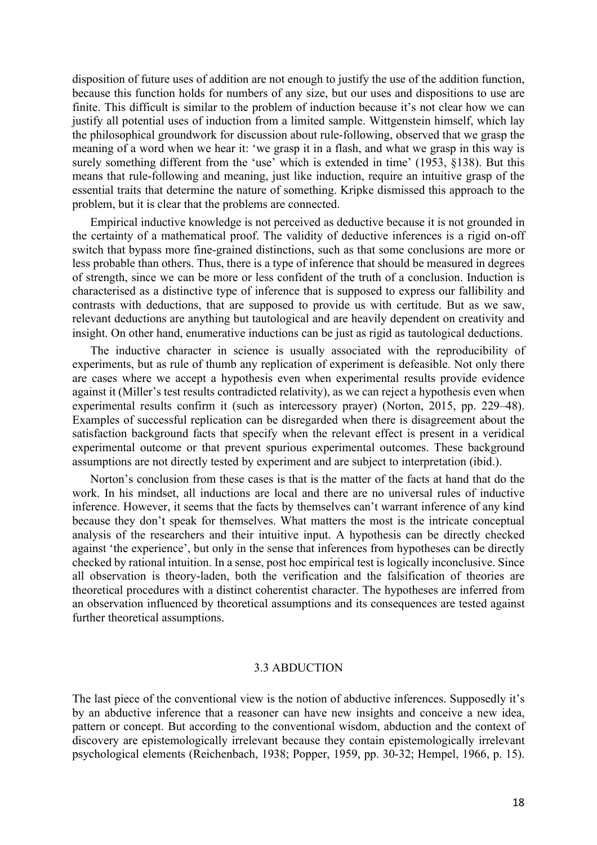disposition of future uses of addition are not enough to justify the use of the addition function, because this function holds for numbers of any size, but our uses and dispositions to use are finite. This difficult is similar to the problem of induction because it's not clear how we can justify all potential uses of induction from a limited sample. Wittgenstein himself, which lay the philosophical groundwork for discussion about rule-following, observed that we grasp the meaning of a word when we hear it: 'we grasp it in a flash, and what we grasp in this way is surely something different from the 'use' which is extended in time' (1953, §138). But this means that rule-following and meaning, just like induction, require an intuitive grasp of the essential traits that determine the nature of something. Kripke dismissed this approach to the problem, but it is clear that the problems are connected.

Empirical inductive knowledge is not perceived as deductive because it is not grounded in the certainty of a mathematical proof. The validity of deductive inferences is a rigid on-off switch that bypass more fine-grained distinctions, such as that some conclusions are more or less probable than others. Thus, there is a type of inference that should be measured in degrees of strength, since we can be more or less confident of the truth of a conclusion. Induction is characterised as a distinctive type of inference that is supposed to express our fallibility and contrasts with deductions, that are supposed to provide us with certitude. But as we saw, relevant deductions are anything but tautological and are heavily dependent on creativity and insight. On other hand, enumerative inductions can be just as rigid as tautological deductions.

The inductive character in science is usually associated with the reproducibility of experiments, but as rule of thumb any replication of experiment is defeasible. Not only there are cases where we accept a hypothesis even when experimental results provide evidence against it (Miller's test results contradicted relativity), as we can reject a hypothesis even when experimental results confirm it (such as intercessory prayer) (Norton, 2015, pp. 229–48). Examples of successful replication can be disregarded when there is disagreement about the satisfaction background facts that specify when the relevant effect is present in a veridical experimental outcome or that prevent spurious experimental outcomes. These background assumptions are not directly tested by experiment and are subject to interpretation (ibid.).

Norton's conclusion from these cases is that is the matter of the facts at hand that do the work. In his mindset, all inductions are local and there are no universal rules of inductive inference. However, it seems that the facts by themselves can't warrant inference of any kind because they don't speak for themselves. What matters the most is the intricate conceptual analysis of the researchers and their intuitive input. A hypothesis can be directly checked against 'the experience', but only in the sense that inferences from hypotheses can be directly checked by rational intuition. In a sense, post hoc empirical test is logically inconclusive. Since all observation is theory-laden, both the verification and the falsification of theories are theoretical procedures with a distinct coherentist character. The hypotheses are inferred from an observation influenced by theoretical assumptions and its consequences are tested against further theoretical assumptions.

#### 3.3 ABDUCTION

The last piece of the conventional view is the notion of abductive inferences. Supposedly it's by an abductive inference that a reasoner can have new insights and conceive a new idea, pattern or concept. But according to the conventional wisdom, abduction and the context of discovery are epistemologically irrelevant because they contain epistemologically irrelevant psychological elements (Reichenbach, 1938; Popper, 1959, pp. 30-32; Hempel, 1966, p. 15).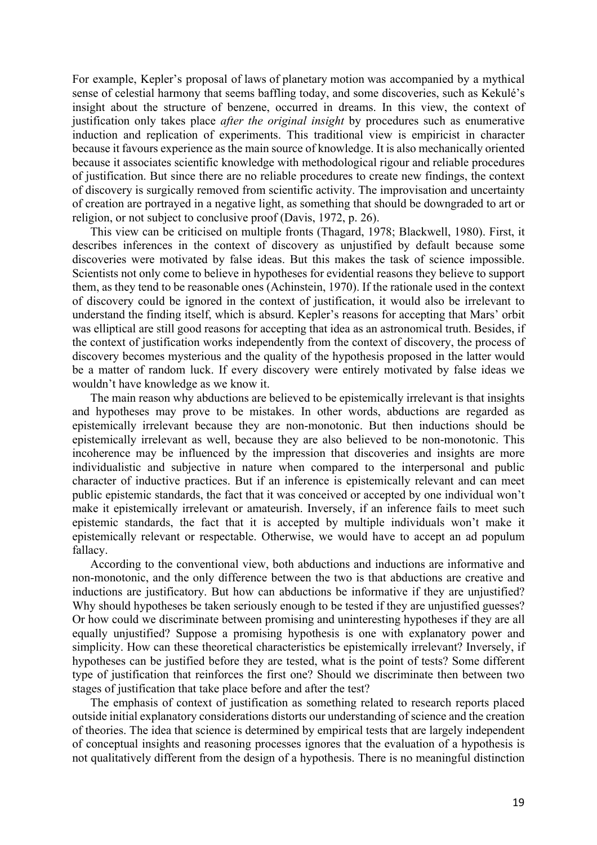For example, Kepler's proposal of laws of planetary motion was accompanied by a mythical sense of celestial harmony that seems baffling today, and some discoveries, such as Kekulé's insight about the structure of benzene, occurred in dreams. In this view, the context of justification only takes place *after the original insight* by procedures such as enumerative induction and replication of experiments. This traditional view is empiricist in character because it favours experience as the main source of knowledge. It is also mechanically oriented because it associates scientific knowledge with methodological rigour and reliable procedures of justification. But since there are no reliable procedures to create new findings, the context of discovery is surgically removed from scientific activity. The improvisation and uncertainty of creation are portrayed in a negative light, as something that should be downgraded to art or religion, or not subject to conclusive proof (Davis, 1972, p. 26).

This view can be criticised on multiple fronts (Thagard, 1978; Blackwell, 1980). First, it describes inferences in the context of discovery as unjustified by default because some discoveries were motivated by false ideas. But this makes the task of science impossible. Scientists not only come to believe in hypotheses for evidential reasons they believe to support them, as they tend to be reasonable ones (Achinstein, 1970). If the rationale used in the context of discovery could be ignored in the context of justification, it would also be irrelevant to understand the finding itself, which is absurd. Kepler's reasons for accepting that Mars' orbit was elliptical are still good reasons for accepting that idea as an astronomical truth. Besides, if the context of justification works independently from the context of discovery, the process of discovery becomes mysterious and the quality of the hypothesis proposed in the latter would be a matter of random luck. If every discovery were entirely motivated by false ideas we wouldn't have knowledge as we know it.

The main reason why abductions are believed to be epistemically irrelevant is that insights and hypotheses may prove to be mistakes. In other words, abductions are regarded as epistemically irrelevant because they are non-monotonic. But then inductions should be epistemically irrelevant as well, because they are also believed to be non-monotonic. This incoherence may be influenced by the impression that discoveries and insights are more individualistic and subjective in nature when compared to the interpersonal and public character of inductive practices. But if an inference is epistemically relevant and can meet public epistemic standards, the fact that it was conceived or accepted by one individual won't make it epistemically irrelevant or amateurish. Inversely, if an inference fails to meet such epistemic standards, the fact that it is accepted by multiple individuals won't make it epistemically relevant or respectable. Otherwise, we would have to accept an ad populum fallacy.

According to the conventional view, both abductions and inductions are informative and non-monotonic, and the only difference between the two is that abductions are creative and inductions are justificatory. But how can abductions be informative if they are unjustified? Why should hypotheses be taken seriously enough to be tested if they are unjustified guesses? Or how could we discriminate between promising and uninteresting hypotheses if they are all equally unjustified? Suppose a promising hypothesis is one with explanatory power and simplicity. How can these theoretical characteristics be epistemically irrelevant? Inversely, if hypotheses can be justified before they are tested, what is the point of tests? Some different type of justification that reinforces the first one? Should we discriminate then between two stages of justification that take place before and after the test?

The emphasis of context of justification as something related to research reports placed outside initial explanatory considerations distorts our understanding of science and the creation of theories. The idea that science is determined by empirical tests that are largely independent of conceptual insights and reasoning processes ignores that the evaluation of a hypothesis is not qualitatively different from the design of a hypothesis. There is no meaningful distinction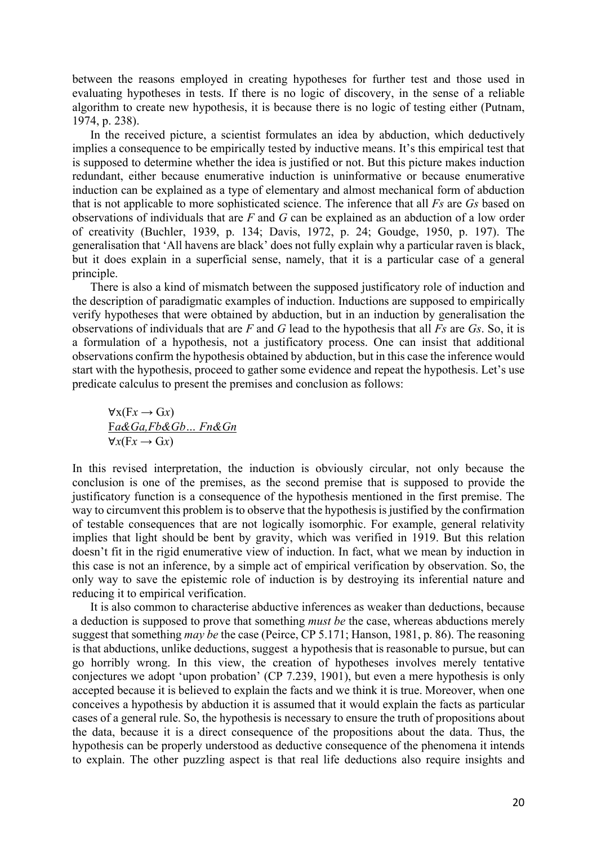between the reasons employed in creating hypotheses for further test and those used in evaluating hypotheses in tests. If there is no logic of discovery, in the sense of a reliable algorithm to create new hypothesis, it is because there is no logic of testing either (Putnam, 1974, p. 238).

In the received picture, a scientist formulates an idea by abduction, which deductively implies a consequence to be empirically tested by inductive means. It's this empirical test that is supposed to determine whether the idea is justified or not. But this picture makes induction redundant, either because enumerative induction is uninformative or because enumerative induction can be explained as a type of elementary and almost mechanical form of abduction that is not applicable to more sophisticated science. The inference that all *Fs* are *Gs* based on observations of individuals that are *F* and *G* can be explained as an abduction of a low order of creativity (Buchler, 1939, p. 134; Davis, 1972, p. 24; Goudge, 1950, p. 197). The generalisation that 'All havens are black' does not fully explain why a particular raven is black, but it does explain in a superficial sense, namely, that it is a particular case of a general principle.

There is also a kind of mismatch between the supposed justificatory role of induction and the description of paradigmatic examples of induction. Inductions are supposed to empirically verify hypotheses that were obtained by abduction, but in an induction by generalisation the observations of individuals that are *F* and *G* lead to the hypothesis that all *Fs* are *Gs*. So, it is a formulation of a hypothesis, not a justificatory process. One can insist that additional observations confirm the hypothesis obtained by abduction, but in this case the inference would start with the hypothesis, proceed to gather some evidence and repeat the hypothesis. Let's use predicate calculus to present the premises and conclusion as follows:

$$
\forall x (Fx \rightarrow Gx)
$$
  
Fa&Ga,Fb&Gb...Fn&Gn  

$$
\forall x (Fx \rightarrow Gx)
$$

In this revised interpretation, the induction is obviously circular, not only because the conclusion is one of the premises, as the second premise that is supposed to provide the justificatory function is a consequence of the hypothesis mentioned in the first premise. The way to circumvent this problem is to observe that the hypothesis is justified by the confirmation of testable consequences that are not logically isomorphic. For example, general relativity implies that light should be bent by gravity, which was verified in 1919. But this relation doesn't fit in the rigid enumerative view of induction. In fact, what we mean by induction in this case is not an inference, by a simple act of empirical verification by observation. So, the only way to save the epistemic role of induction is by destroying its inferential nature and reducing it to empirical verification.

It is also common to characterise abductive inferences as weaker than deductions, because a deduction is supposed to prove that something *must be* the case, whereas abductions merely suggest that something *may be* the case (Peirce, CP 5.171; Hanson, 1981, p. 86). The reasoning is that abductions, unlike deductions, suggest a hypothesis that is reasonable to pursue, but can go horribly wrong. In this view, the creation of hypotheses involves merely tentative conjectures we adopt 'upon probation' (CP 7.239, 1901), but even a mere hypothesis is only accepted because it is believed to explain the facts and we think it is true. Moreover, when one conceives a hypothesis by abduction it is assumed that it would explain the facts as particular cases of a general rule. So, the hypothesis is necessary to ensure the truth of propositions about the data, because it is a direct consequence of the propositions about the data. Thus, the hypothesis can be properly understood as deductive consequence of the phenomena it intends to explain. The other puzzling aspect is that real life deductions also require insights and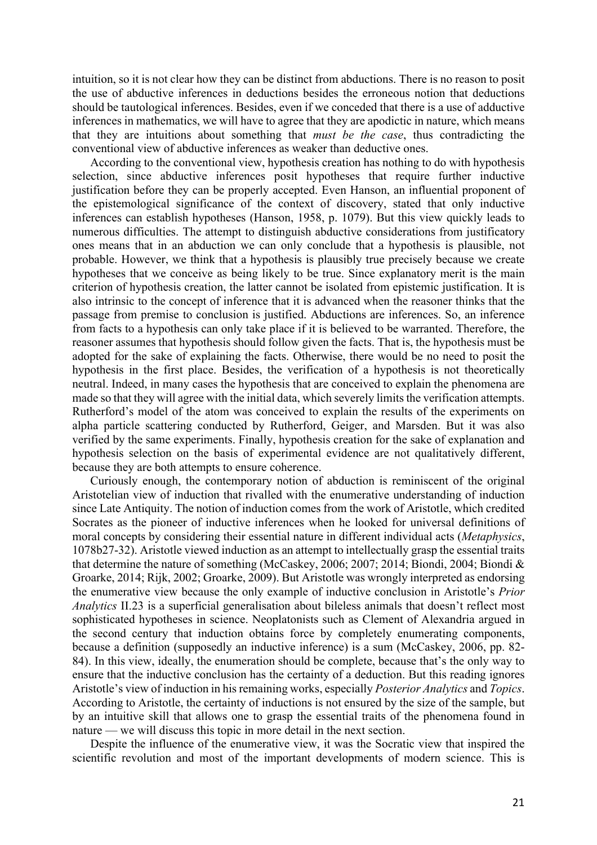intuition, so it is not clear how they can be distinct from abductions. There is no reason to posit the use of abductive inferences in deductions besides the erroneous notion that deductions should be tautological inferences. Besides, even if we conceded that there is a use of adductive inferences in mathematics, we will have to agree that they are apodictic in nature, which means that they are intuitions about something that *must be the case*, thus contradicting the conventional view of abductive inferences as weaker than deductive ones.

According to the conventional view, hypothesis creation has nothing to do with hypothesis selection, since abductive inferences posit hypotheses that require further inductive justification before they can be properly accepted. Even Hanson, an influential proponent of the epistemological significance of the context of discovery, stated that only inductive inferences can establish hypotheses (Hanson, 1958, p. 1079). But this view quickly leads to numerous difficulties. The attempt to distinguish abductive considerations from justificatory ones means that in an abduction we can only conclude that a hypothesis is plausible, not probable. However, we think that a hypothesis is plausibly true precisely because we create hypotheses that we conceive as being likely to be true. Since explanatory merit is the main criterion of hypothesis creation, the latter cannot be isolated from epistemic justification. It is also intrinsic to the concept of inference that it is advanced when the reasoner thinks that the passage from premise to conclusion is justified. Abductions are inferences. So, an inference from facts to a hypothesis can only take place if it is believed to be warranted. Therefore, the reasoner assumes that hypothesis should follow given the facts. That is, the hypothesis must be adopted for the sake of explaining the facts. Otherwise, there would be no need to posit the hypothesis in the first place. Besides, the verification of a hypothesis is not theoretically neutral. Indeed, in many cases the hypothesis that are conceived to explain the phenomena are made so that they will agree with the initial data, which severely limits the verification attempts. Rutherford's model of the atom was conceived to explain the results of the experiments on alpha particle scattering conducted by Rutherford, Geiger, and Marsden. But it was also verified by the same experiments. Finally, hypothesis creation for the sake of explanation and hypothesis selection on the basis of experimental evidence are not qualitatively different, because they are both attempts to ensure coherence.

Curiously enough, the contemporary notion of abduction is reminiscent of the original Aristotelian view of induction that rivalled with the enumerative understanding of induction since Late Antiquity. The notion of induction comes from the work of Aristotle, which credited Socrates as the pioneer of inductive inferences when he looked for universal definitions of moral concepts by considering their essential nature in different individual acts (*Metaphysics*, 1078b27-32). Aristotle viewed induction as an attempt to intellectually grasp the essential traits that determine the nature of something (McCaskey, 2006; 2007; 2014; Biondi, 2004; Biondi & Groarke, 2014; Rijk, 2002; Groarke, 2009). But Aristotle was wrongly interpreted as endorsing the enumerative view because the only example of inductive conclusion in Aristotle's *Prior Analytics* II.23 is a superficial generalisation about bileless animals that doesn't reflect most sophisticated hypotheses in science. Neoplatonists such as Clement of Alexandria argued in the second century that induction obtains force by completely enumerating components, because a definition (supposedly an inductive inference) is a sum (McCaskey, 2006, pp. 82- 84). In this view, ideally, the enumeration should be complete, because that's the only way to ensure that the inductive conclusion has the certainty of a deduction. But this reading ignores Aristotle's view of induction in his remaining works, especially *Posterior Analytics* and *Topics*. According to Aristotle, the certainty of inductions is not ensured by the size of the sample, but by an intuitive skill that allows one to grasp the essential traits of the phenomena found in nature — we will discuss this topic in more detail in the next section.

Despite the influence of the enumerative view, it was the Socratic view that inspired the scientific revolution and most of the important developments of modern science. This is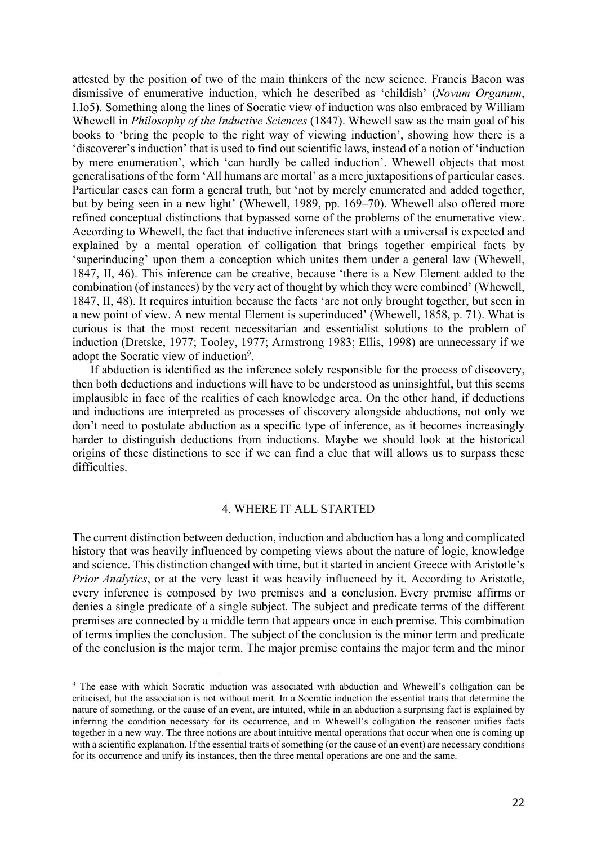attested by the position of two of the main thinkers of the new science. Francis Bacon was dismissive of enumerative induction, which he described as 'childish' (*Novum Organum*, I.Io5). Something along the lines of Socratic view of induction was also embraced by William Whewell in *Philosophy of the Inductive Sciences* (1847). Whewell saw as the main goal of his books to 'bring the people to the right way of viewing induction', showing how there is a 'discoverer's induction' that is used to find out scientific laws, instead of a notion of 'induction by mere enumeration', which 'can hardly be called induction'. Whewell objects that most generalisations of the form 'All humans are mortal' as a mere juxtapositions of particular cases. Particular cases can form a general truth, but 'not by merely enumerated and added together, but by being seen in a new light' (Whewell, 1989, pp. 169–70). Whewell also offered more refined conceptual distinctions that bypassed some of the problems of the enumerative view. According to Whewell, the fact that inductive inferences start with a universal is expected and explained by a mental operation of colligation that brings together empirical facts by 'superinducing' upon them a conception which unites them under a general law (Whewell, 1847, II, 46). This inference can be creative, because 'there is a New Element added to the combination (of instances) by the very act of thought by which they were combined' (Whewell, 1847, II, 48). It requires intuition because the facts 'are not only brought together, but seen in a new point of view. A new mental Element is superinduced' (Whewell, 1858, p. 71). What is curious is that the most recent necessitarian and essentialist solutions to the problem of induction (Dretske, 1977; Tooley, 1977; Armstrong 1983; Ellis, 1998) are unnecessary if we adopt the Socratic view of induction9.

If abduction is identified as the inference solely responsible for the process of discovery, then both deductions and inductions will have to be understood as uninsightful, but this seems implausible in face of the realities of each knowledge area. On the other hand, if deductions and inductions are interpreted as processes of discovery alongside abductions, not only we don't need to postulate abduction as a specific type of inference, as it becomes increasingly harder to distinguish deductions from inductions. Maybe we should look at the historical origins of these distinctions to see if we can find a clue that will allows us to surpass these difficulties.

# 4. WHERE IT ALL STARTED

The current distinction between deduction, induction and abduction has a long and complicated history that was heavily influenced by competing views about the nature of logic, knowledge and science. This distinction changed with time, but it started in ancient Greece with Aristotle's *Prior Analytics*, or at the very least it was heavily influenced by it. According to Aristotle, every inference is composed by two premises and a conclusion. Every premise affirms or denies a single predicate of a single subject. The subject and predicate terms of the different premises are connected by a middle term that appears once in each premise. This combination of terms implies the conclusion. The subject of the conclusion is the minor term and predicate of the conclusion is the major term. The major premise contains the major term and the minor

<sup>&</sup>lt;sup>9</sup> The ease with which Socratic induction was associated with abduction and Whewell's colligation can be criticised, but the association is not without merit. In a Socratic induction the essential traits that determine the nature of something, or the cause of an event, are intuited, while in an abduction a surprising fact is explained by inferring the condition necessary for its occurrence, and in Whewell's colligation the reasoner unifies facts together in a new way. The three notions are about intuitive mental operations that occur when one is coming up with a scientific explanation. If the essential traits of something (or the cause of an event) are necessary conditions for its occurrence and unify its instances, then the three mental operations are one and the same.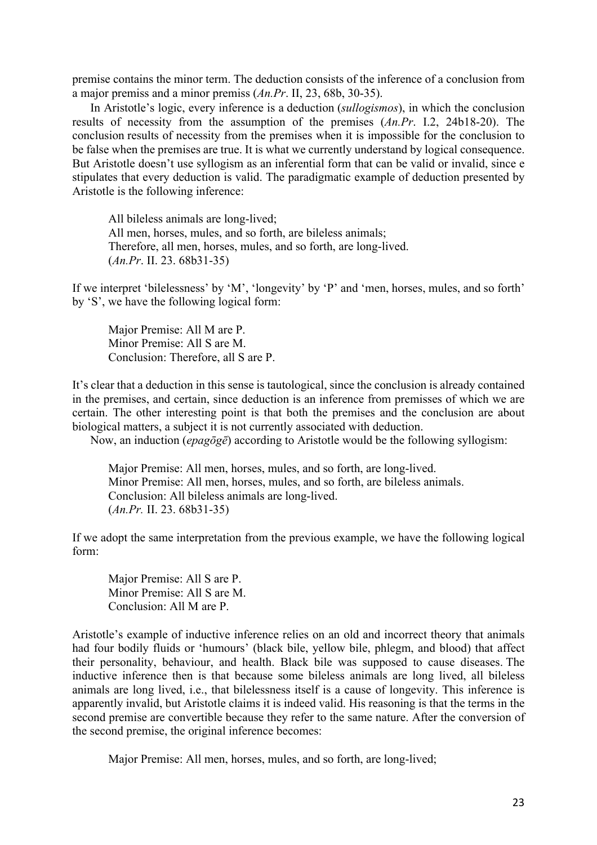premise contains the minor term. The deduction consists of the inference of a conclusion from a major premiss and a minor premiss (*An.Pr*. II, 23, 68b, 30-35).

In Aristotle's logic, every inference is a deduction (*sullogismos*), in which the conclusion results of necessity from the assumption of the premises (*An.Pr*. I.2, 24b18-20). The conclusion results of necessity from the premises when it is impossible for the conclusion to be false when the premises are true. It is what we currently understand by logical consequence. But Aristotle doesn't use syllogism as an inferential form that can be valid or invalid, since e stipulates that every deduction is valid. The paradigmatic example of deduction presented by Aristotle is the following inference:

All bileless animals are long-lived; All men, horses, mules, and so forth, are bileless animals; Therefore, all men, horses, mules, and so forth, are long-lived. (*An.Pr*. II. 23. 68b31-35)

If we interpret 'bilelessness' by 'M', 'longevity' by 'P' and 'men, horses, mules, and so forth' by 'S', we have the following logical form:

Major Premise: All M are P. Minor Premise: All S are M. Conclusion: Therefore, all S are P.

It's clear that a deduction in this sense is tautological, since the conclusion is already contained in the premises, and certain, since deduction is an inference from premisses of which we are certain. The other interesting point is that both the premises and the conclusion are about biological matters, a subject it is not currently associated with deduction.

Now, an induction (*epagōgē*) according to Aristotle would be the following syllogism:

Major Premise: All men, horses, mules, and so forth, are long-lived. Minor Premise: All men, horses, mules, and so forth, are bileless animals. Conclusion: All bileless animals are long-lived. (*An.Pr.* II. 23. 68b31-35)

If we adopt the same interpretation from the previous example, we have the following logical form:

Major Premise: All S are P. Minor Premise: All S are M. Conclusion: All M are P.

Aristotle's example of inductive inference relies on an old and incorrect theory that animals had four bodily fluids or 'humours' (black bile, yellow bile, phlegm, and blood) that affect their personality, behaviour, and health. Black bile was supposed to cause diseases. The inductive inference then is that because some bileless animals are long lived, all bileless animals are long lived, i.e., that bilelessness itself is a cause of longevity. This inference is apparently invalid, but Aristotle claims it is indeed valid. His reasoning is that the terms in the second premise are convertible because they refer to the same nature. After the conversion of the second premise, the original inference becomes:

Major Premise: All men, horses, mules, and so forth, are long-lived;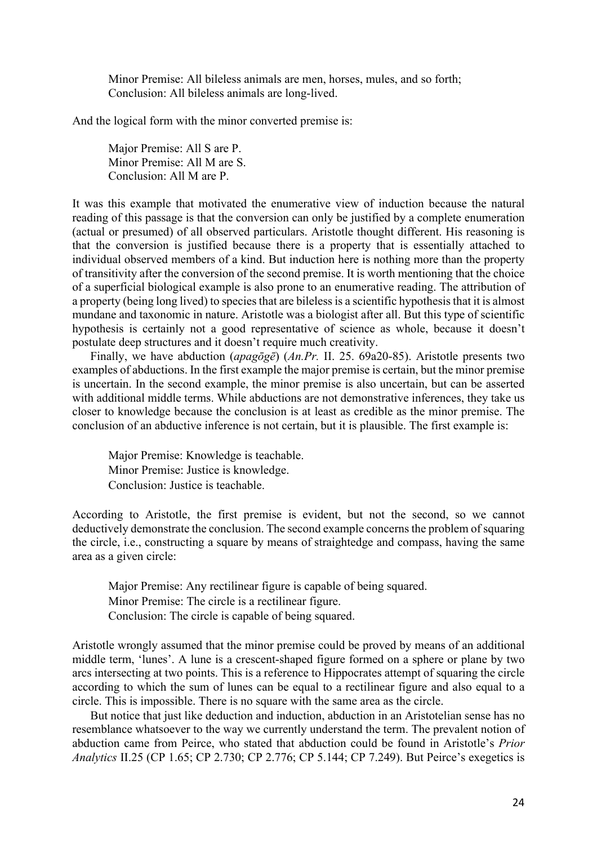Minor Premise: All bileless animals are men, horses, mules, and so forth; Conclusion: All bileless animals are long-lived.

And the logical form with the minor converted premise is:

Major Premise: All S are P. Minor Premise: All M are S. Conclusion: All M are P.

It was this example that motivated the enumerative view of induction because the natural reading of this passage is that the conversion can only be justified by a complete enumeration (actual or presumed) of all observed particulars. Aristotle thought different. His reasoning is that the conversion is justified because there is a property that is essentially attached to individual observed members of a kind. But induction here is nothing more than the property of transitivity after the conversion of the second premise. It is worth mentioning that the choice of a superficial biological example is also prone to an enumerative reading. The attribution of a property (being long lived) to species that are bileless is a scientific hypothesis that it is almost mundane and taxonomic in nature. Aristotle was a biologist after all. But this type of scientific hypothesis is certainly not a good representative of science as whole, because it doesn't postulate deep structures and it doesn't require much creativity.

Finally, we have abduction (*apagōgē*) (*An.Pr.* II. 25. 69a20-85). Aristotle presents two examples of abductions. In the first example the major premise is certain, but the minor premise is uncertain. In the second example, the minor premise is also uncertain, but can be asserted with additional middle terms. While abductions are not demonstrative inferences, they take us closer to knowledge because the conclusion is at least as credible as the minor premise. The conclusion of an abductive inference is not certain, but it is plausible. The first example is:

Major Premise: Knowledge is teachable. Minor Premise: Justice is knowledge. Conclusion: Justice is teachable.

According to Aristotle, the first premise is evident, but not the second, so we cannot deductively demonstrate the conclusion. The second example concerns the problem of squaring the circle, i.e., constructing a square by means of straightedge and compass, having the same area as a given circle:

Major Premise: Any rectilinear figure is capable of being squared. Minor Premise: The circle is a rectilinear figure. Conclusion: The circle is capable of being squared.

Aristotle wrongly assumed that the minor premise could be proved by means of an additional middle term, 'lunes'. A lune is a crescent-shaped figure formed on a sphere or plane by two arcs intersecting at two points. This is a reference to Hippocrates attempt of squaring the circle according to which the sum of lunes can be equal to a rectilinear figure and also equal to a circle. This is impossible. There is no square with the same area as the circle.

But notice that just like deduction and induction, abduction in an Aristotelian sense has no resemblance whatsoever to the way we currently understand the term. The prevalent notion of abduction came from Peirce, who stated that abduction could be found in Aristotle's *Prior Analytics* II.25 (CP 1.65; CP 2.730; CP 2.776; CP 5.144; CP 7.249). But Peirce's exegetics is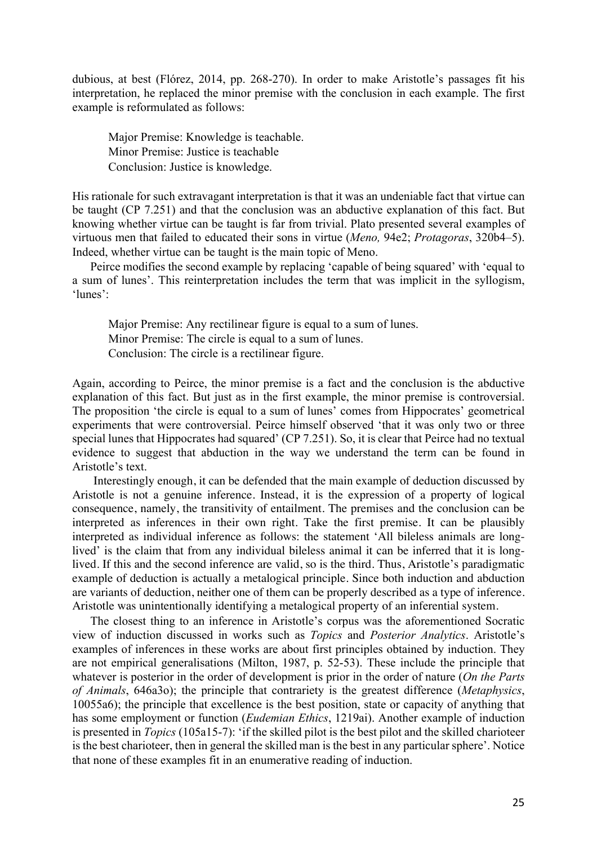dubious, at best (Flórez, 2014, pp. 268-270). In order to make Aristotle's passages fit his interpretation, he replaced the minor premise with the conclusion in each example. The first example is reformulated as follows:

Major Premise: Knowledge is teachable. Minor Premise: Justice is teachable Conclusion: Justice is knowledge.

His rationale for such extravagant interpretation is that it was an undeniable fact that virtue can be taught (CP 7.251) and that the conclusion was an abductive explanation of this fact. But knowing whether virtue can be taught is far from trivial. Plato presented several examples of virtuous men that failed to educated their sons in virtue (*Meno,* 94e2; *Protagoras*, 320b4–5). Indeed, whether virtue can be taught is the main topic of Meno.

Peirce modifies the second example by replacing 'capable of being squared' with 'equal to a sum of lunes'. This reinterpretation includes the term that was implicit in the syllogism, 'lunes':

Major Premise: Any rectilinear figure is equal to a sum of lunes. Minor Premise: The circle is equal to a sum of lunes. Conclusion: The circle is a rectilinear figure.

Again, according to Peirce, the minor premise is a fact and the conclusion is the abductive explanation of this fact. But just as in the first example, the minor premise is controversial. The proposition 'the circle is equal to a sum of lunes' comes from Hippocrates' geometrical experiments that were controversial. Peirce himself observed 'that it was only two or three special lunes that Hippocrates had squared' (CP 7.251). So, it is clear that Peirce had no textual evidence to suggest that abduction in the way we understand the term can be found in Aristotle's text.

Interestingly enough, it can be defended that the main example of deduction discussed by Aristotle is not a genuine inference. Instead, it is the expression of a property of logical consequence, namely, the transitivity of entailment. The premises and the conclusion can be interpreted as inferences in their own right. Take the first premise. It can be plausibly interpreted as individual inference as follows: the statement 'All bileless animals are longlived' is the claim that from any individual bileless animal it can be inferred that it is longlived. If this and the second inference are valid, so is the third. Thus, Aristotle's paradigmatic example of deduction is actually a metalogical principle. Since both induction and abduction are variants of deduction, neither one of them can be properly described as a type of inference. Aristotle was unintentionally identifying a metalogical property of an inferential system.

The closest thing to an inference in Aristotle's corpus was the aforementioned Socratic view of induction discussed in works such as *Topics* and *Posterior Analytics*. Aristotle's examples of inferences in these works are about first principles obtained by induction. They are not empirical generalisations (Milton, 1987, p. 52-53). These include the principle that whatever is posterior in the order of development is prior in the order of nature (*On the Parts of Animals*, 646a3o); the principle that contrariety is the greatest difference (*Metaphysics*, 10055a6); the principle that excellence is the best position, state or capacity of anything that has some employment or function (*Eudemian Ethics*, 1219ai). Another example of induction is presented in *Topics* (105a15-7): 'if the skilled pilot is the best pilot and the skilled charioteer is the best charioteer, then in general the skilled man is the best in any particular sphere'. Notice that none of these examples fit in an enumerative reading of induction.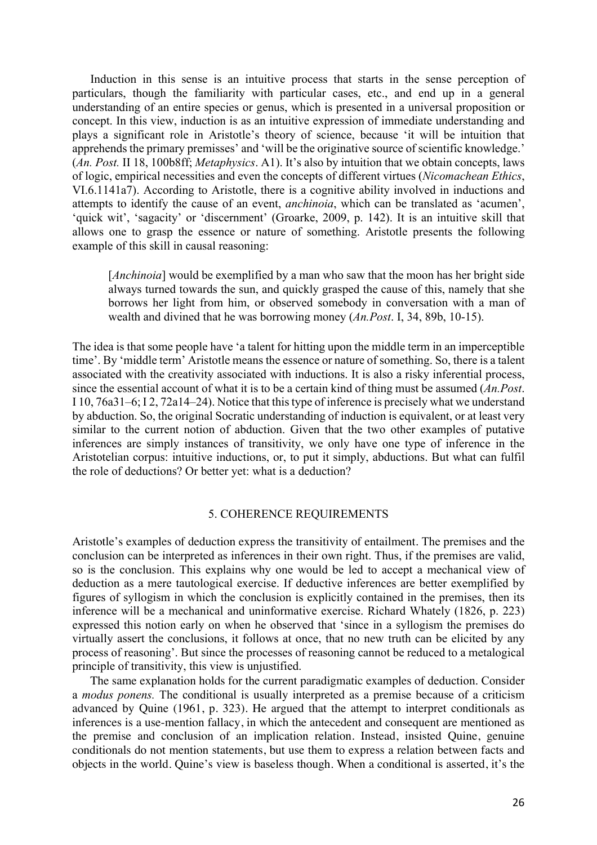Induction in this sense is an intuitive process that starts in the sense perception of particulars, though the familiarity with particular cases, etc., and end up in a general understanding of an entire species or genus, which is presented in a universal proposition or concept. In this view, induction is as an intuitive expression of immediate understanding and plays a significant role in Aristotle's theory of science, because 'it will be intuition that apprehends the primary premisses' and 'will be the originative source of scientific knowledge.' (*An. Post.* II 18, 100b8ff; *Metaphysics*. A1). It's also by intuition that we obtain concepts, laws of logic, empirical necessities and even the concepts of different virtues (*Nicomachean Ethics*, VI.6.1141a7). According to Aristotle, there is a cognitive ability involved in inductions and attempts to identify the cause of an event, *anchinoia*, which can be translated as 'acumen', 'quick wit', 'sagacity' or 'discernment' (Groarke, 2009, p. 142). It is an intuitive skill that allows one to grasp the essence or nature of something. Aristotle presents the following example of this skill in causal reasoning:

[*Anchinoia*] would be exemplified by a man who saw that the moon has her bright side always turned towards the sun, and quickly grasped the cause of this, namely that she borrows her light from him, or observed somebody in conversation with a man of wealth and divined that he was borrowing money (*An.Post*. I, 34, 89b, 10-15).

The idea is that some people have 'a talent for hitting upon the middle term in an imperceptible time'. By 'middle term' Aristotle means the essence or nature of something. So, there is a talent associated with the creativity associated with inductions. It is also a risky inferential process, since the essential account of what it is to be a certain kind of thing must be assumed (*An.Post*. I 10, 76a31–6; I 2, 72a14–24). Notice that this type of inference is precisely what we understand by abduction. So, the original Socratic understanding of induction is equivalent, or at least very similar to the current notion of abduction. Given that the two other examples of putative inferences are simply instances of transitivity, we only have one type of inference in the Aristotelian corpus: intuitive inductions, or, to put it simply, abductions. But what can fulfil the role of deductions? Or better yet: what is a deduction?

## 5. COHERENCE REQUIREMENTS

Aristotle's examples of deduction express the transitivity of entailment. The premises and the conclusion can be interpreted as inferences in their own right. Thus, if the premises are valid, so is the conclusion. This explains why one would be led to accept a mechanical view of deduction as a mere tautological exercise. If deductive inferences are better exemplified by figures of syllogism in which the conclusion is explicitly contained in the premises, then its inference will be a mechanical and uninformative exercise. Richard Whately (1826, p. 223) expressed this notion early on when he observed that 'since in a syllogism the premises do virtually assert the conclusions, it follows at once, that no new truth can be elicited by any process of reasoning'. But since the processes of reasoning cannot be reduced to a metalogical principle of transitivity, this view is unjustified.

The same explanation holds for the current paradigmatic examples of deduction. Consider a *modus ponens.* The conditional is usually interpreted as a premise because of a criticism advanced by Quine (1961, p. 323). He argued that the attempt to interpret conditionals as inferences is a use-mention fallacy, in which the antecedent and consequent are mentioned as the premise and conclusion of an implication relation. Instead, insisted Quine, genuine conditionals do not mention statements, but use them to express a relation between facts and objects in the world. Quine's view is baseless though. When a conditional is asserted, it's the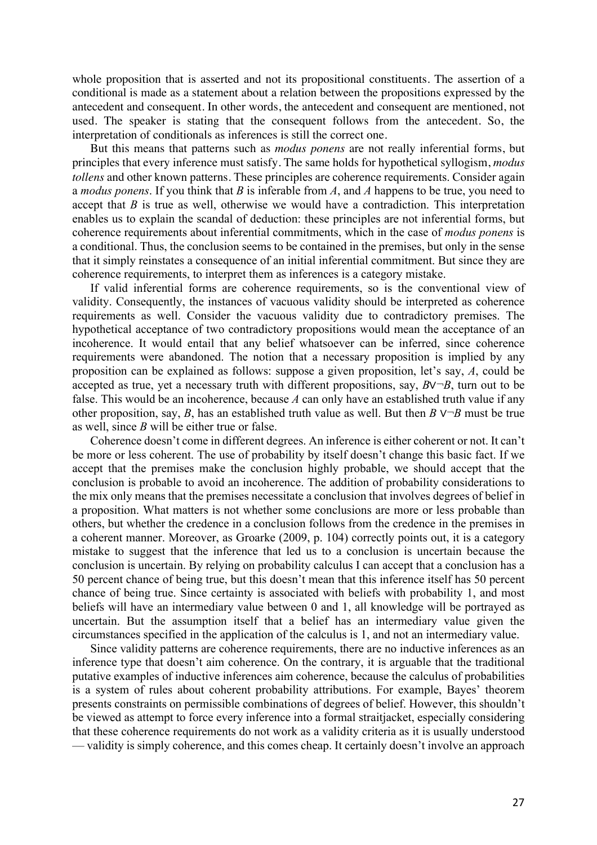whole proposition that is asserted and not its propositional constituents. The assertion of a conditional is made as a statement about a relation between the propositions expressed by the antecedent and consequent. In other words, the antecedent and consequent are mentioned, not used. The speaker is stating that the consequent follows from the antecedent. So, the interpretation of conditionals as inferences is still the correct one.

But this means that patterns such as *modus ponens* are not really inferential forms, but principles that every inference must satisfy. The same holds for hypothetical syllogism, *modus tollens* and other known patterns. These principles are coherence requirements. Consider again a *modus ponens*. If you think that *B* is inferable from *A*, and *A* happens to be true, you need to accept that *B* is true as well, otherwise we would have a contradiction. This interpretation enables us to explain the scandal of deduction: these principles are not inferential forms, but coherence requirements about inferential commitments, which in the case of *modus ponens* is a conditional. Thus, the conclusion seems to be contained in the premises, but only in the sense that it simply reinstates a consequence of an initial inferential commitment. But since they are coherence requirements, to interpret them as inferences is a category mistake.

If valid inferential forms are coherence requirements, so is the conventional view of validity. Consequently, the instances of vacuous validity should be interpreted as coherence requirements as well. Consider the vacuous validity due to contradictory premises. The hypothetical acceptance of two contradictory propositions would mean the acceptance of an incoherence. It would entail that any belief whatsoever can be inferred, since coherence requirements were abandoned. The notion that a necessary proposition is implied by any proposition can be explained as follows: suppose a given proposition, let's say, *A*, could be accepted as true, yet a necessary truth with different propositions, say, *B*∨¬*B*, turn out to be false. This would be an incoherence, because *A* can only have an established truth value if any other proposition, say, *B*, has an established truth value as well. But then *B*  $\vee \neg B$  must be true as well, since *B* will be either true or false.

Coherence doesn't come in different degrees. An inference is either coherent or not. It can't be more or less coherent. The use of probability by itself doesn't change this basic fact. If we accept that the premises make the conclusion highly probable, we should accept that the conclusion is probable to avoid an incoherence. The addition of probability considerations to the mix only means that the premises necessitate a conclusion that involves degrees of belief in a proposition. What matters is not whether some conclusions are more or less probable than others, but whether the credence in a conclusion follows from the credence in the premises in a coherent manner. Moreover, as Groarke (2009, p. 104) correctly points out, it is a category mistake to suggest that the inference that led us to a conclusion is uncertain because the conclusion is uncertain. By relying on probability calculus I can accept that a conclusion has a 50 percent chance of being true, but this doesn't mean that this inference itself has 50 percent chance of being true. Since certainty is associated with beliefs with probability 1, and most beliefs will have an intermediary value between 0 and 1, all knowledge will be portrayed as uncertain. But the assumption itself that a belief has an intermediary value given the circumstances specified in the application of the calculus is 1, and not an intermediary value.

Since validity patterns are coherence requirements, there are no inductive inferences as an inference type that doesn't aim coherence. On the contrary, it is arguable that the traditional putative examples of inductive inferences aim coherence, because the calculus of probabilities is a system of rules about coherent probability attributions. For example, Bayes' theorem presents constraints on permissible combinations of degrees of belief. However, this shouldn't be viewed as attempt to force every inference into a formal straitjacket, especially considering that these coherence requirements do not work as a validity criteria as it is usually understood — validity is simply coherence, and this comes cheap. It certainly doesn't involve an approach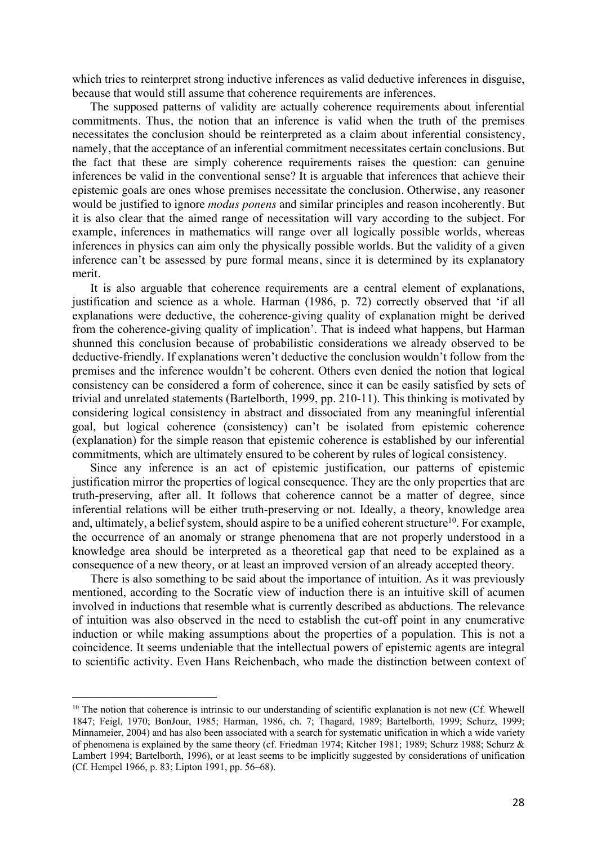which tries to reinterpret strong inductive inferences as valid deductive inferences in disguise, because that would still assume that coherence requirements are inferences.

The supposed patterns of validity are actually coherence requirements about inferential commitments. Thus, the notion that an inference is valid when the truth of the premises necessitates the conclusion should be reinterpreted as a claim about inferential consistency, namely, that the acceptance of an inferential commitment necessitates certain conclusions. But the fact that these are simply coherence requirements raises the question: can genuine inferences be valid in the conventional sense? It is arguable that inferences that achieve their epistemic goals are ones whose premises necessitate the conclusion. Otherwise, any reasoner would be justified to ignore *modus ponens* and similar principles and reason incoherently. But it is also clear that the aimed range of necessitation will vary according to the subject. For example, inferences in mathematics will range over all logically possible worlds, whereas inferences in physics can aim only the physically possible worlds. But the validity of a given inference can't be assessed by pure formal means, since it is determined by its explanatory merit.

It is also arguable that coherence requirements are a central element of explanations, justification and science as a whole. Harman (1986, p. 72) correctly observed that 'if all explanations were deductive, the coherence-giving quality of explanation might be derived from the coherence-giving quality of implication'. That is indeed what happens, but Harman shunned this conclusion because of probabilistic considerations we already observed to be deductive-friendly. If explanations weren't deductive the conclusion wouldn't follow from the premises and the inference wouldn't be coherent. Others even denied the notion that logical consistency can be considered a form of coherence, since it can be easily satisfied by sets of trivial and unrelated statements (Bartelborth, 1999, pp. 210-11). This thinking is motivated by considering logical consistency in abstract and dissociated from any meaningful inferential goal, but logical coherence (consistency) can't be isolated from epistemic coherence (explanation) for the simple reason that epistemic coherence is established by our inferential commitments, which are ultimately ensured to be coherent by rules of logical consistency.

Since any inference is an act of epistemic justification, our patterns of epistemic justification mirror the properties of logical consequence. They are the only properties that are truth-preserving, after all. It follows that coherence cannot be a matter of degree, since inferential relations will be either truth-preserving or not. Ideally, a theory, knowledge area and, ultimately, a belief system, should aspire to be a unified coherent structure<sup>10</sup>. For example, the occurrence of an anomaly or strange phenomena that are not properly understood in a knowledge area should be interpreted as a theoretical gap that need to be explained as a consequence of a new theory, or at least an improved version of an already accepted theory.

There is also something to be said about the importance of intuition. As it was previously mentioned, according to the Socratic view of induction there is an intuitive skill of acumen involved in inductions that resemble what is currently described as abductions. The relevance of intuition was also observed in the need to establish the cut-off point in any enumerative induction or while making assumptions about the properties of a population. This is not a coincidence. It seems undeniable that the intellectual powers of epistemic agents are integral to scientific activity. Even Hans Reichenbach, who made the distinction between context of

 $10$  The notion that coherence is intrinsic to our understanding of scientific explanation is not new (Cf. Whewell 1847; Feigl, 1970; BonJour, 1985; Harman, 1986, ch. 7; Thagard, 1989; Bartelborth, 1999; Schurz, 1999; Minnameier, 2004) and has also been associated with a search for systematic unification in which a wide variety of phenomena is explained by the same theory (cf. Friedman 1974; Kitcher 1981; 1989; Schurz 1988; Schurz & Lambert 1994; Bartelborth, 1996), or at least seems to be implicitly suggested by considerations of unification (Cf. Hempel 1966, p. 83; Lipton 1991, pp. 56–68).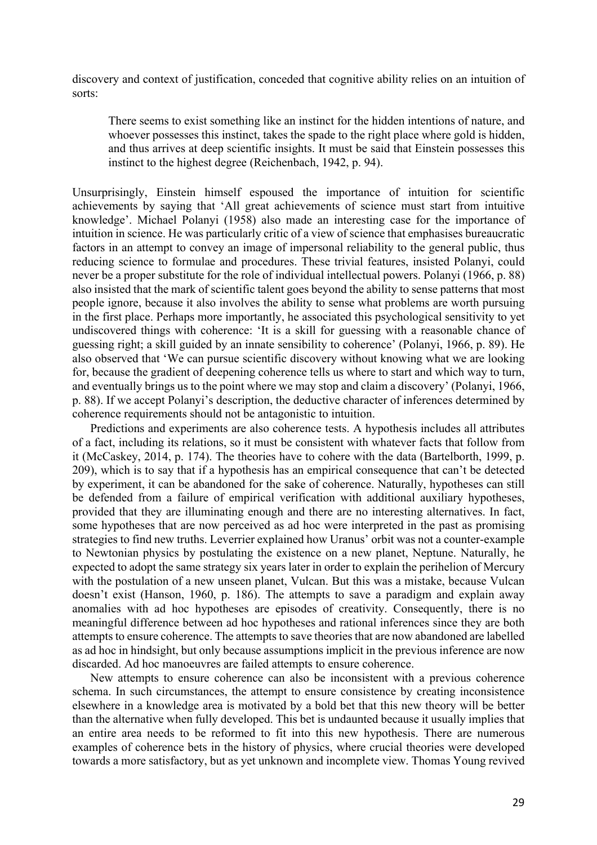discovery and context of justification, conceded that cognitive ability relies on an intuition of sorts:

There seems to exist something like an instinct for the hidden intentions of nature, and whoever possesses this instinct, takes the spade to the right place where gold is hidden, and thus arrives at deep scientific insights. It must be said that Einstein possesses this instinct to the highest degree (Reichenbach, 1942, p. 94).

Unsurprisingly, Einstein himself espoused the importance of intuition for scientific achievements by saying that 'All great achievements of science must start from intuitive knowledge'. Michael Polanyi (1958) also made an interesting case for the importance of intuition in science. He was particularly critic of a view of science that emphasises bureaucratic factors in an attempt to convey an image of impersonal reliability to the general public, thus reducing science to formulae and procedures. These trivial features, insisted Polanyi, could never be a proper substitute for the role of individual intellectual powers. Polanyi (1966, p. 88) also insisted that the mark of scientific talent goes beyond the ability to sense patterns that most people ignore, because it also involves the ability to sense what problems are worth pursuing in the first place. Perhaps more importantly, he associated this psychological sensitivity to yet undiscovered things with coherence: 'It is a skill for guessing with a reasonable chance of guessing right; a skill guided by an innate sensibility to coherence' (Polanyi, 1966, p. 89). He also observed that 'We can pursue scientific discovery without knowing what we are looking for, because the gradient of deepening coherence tells us where to start and which way to turn, and eventually brings us to the point where we may stop and claim a discovery' (Polanyi, 1966, p. 88). If we accept Polanyi's description, the deductive character of inferences determined by coherence requirements should not be antagonistic to intuition.

Predictions and experiments are also coherence tests. A hypothesis includes all attributes of a fact, including its relations, so it must be consistent with whatever facts that follow from it (McCaskey, 2014, p. 174). The theories have to cohere with the data (Bartelborth, 1999, p. 209), which is to say that if a hypothesis has an empirical consequence that can't be detected by experiment, it can be abandoned for the sake of coherence. Naturally, hypotheses can still be defended from a failure of empirical verification with additional auxiliary hypotheses, provided that they are illuminating enough and there are no interesting alternatives. In fact, some hypotheses that are now perceived as ad hoc were interpreted in the past as promising strategies to find new truths. Leverrier explained how Uranus' orbit was not a counter-example to Newtonian physics by postulating the existence on a new planet, Neptune. Naturally, he expected to adopt the same strategy six years later in order to explain the perihelion of Mercury with the postulation of a new unseen planet, Vulcan. But this was a mistake, because Vulcan doesn't exist (Hanson, 1960, p. 186). The attempts to save a paradigm and explain away anomalies with ad hoc hypotheses are episodes of creativity. Consequently, there is no meaningful difference between ad hoc hypotheses and rational inferences since they are both attempts to ensure coherence. The attempts to save theories that are now abandoned are labelled as ad hoc in hindsight, but only because assumptions implicit in the previous inference are now discarded. Ad hoc manoeuvres are failed attempts to ensure coherence.

New attempts to ensure coherence can also be inconsistent with a previous coherence schema. In such circumstances, the attempt to ensure consistence by creating inconsistence elsewhere in a knowledge area is motivated by a bold bet that this new theory will be better than the alternative when fully developed. This bet is undaunted because it usually implies that an entire area needs to be reformed to fit into this new hypothesis. There are numerous examples of coherence bets in the history of physics, where crucial theories were developed towards a more satisfactory, but as yet unknown and incomplete view. Thomas Young revived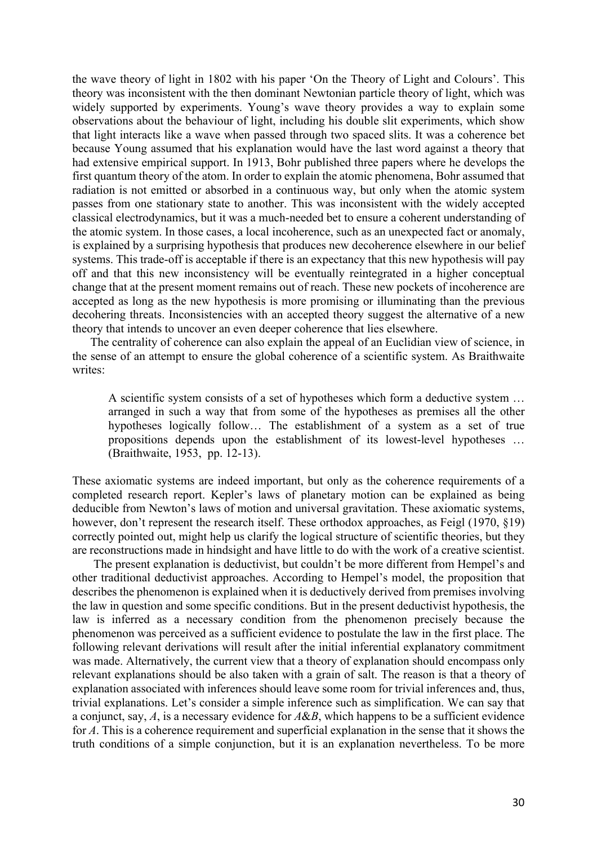the wave theory of light in 1802 with his paper 'On the Theory of Light and Colours'. This theory was inconsistent with the then dominant Newtonian particle theory of light, which was widely supported by experiments. Young's wave theory provides a way to explain some observations about the behaviour of light, including his double slit experiments, which show that light interacts like a wave when passed through two spaced slits. It was a coherence bet because Young assumed that his explanation would have the last word against a theory that had extensive empirical support. In 1913, Bohr published three papers where he develops the first quantum theory of the atom. In order to explain the atomic phenomena, Bohr assumed that radiation is not emitted or absorbed in a continuous way, but only when the atomic system passes from one stationary state to another. This was inconsistent with the widely accepted classical electrodynamics, but it was a much-needed bet to ensure a coherent understanding of the atomic system. In those cases, a local incoherence, such as an unexpected fact or anomaly, is explained by a surprising hypothesis that produces new decoherence elsewhere in our belief systems. This trade-off is acceptable if there is an expectancy that this new hypothesis will pay off and that this new inconsistency will be eventually reintegrated in a higher conceptual change that at the present moment remains out of reach. These new pockets of incoherence are accepted as long as the new hypothesis is more promising or illuminating than the previous decohering threats. Inconsistencies with an accepted theory suggest the alternative of a new theory that intends to uncover an even deeper coherence that lies elsewhere.

The centrality of coherence can also explain the appeal of an Euclidian view of science, in the sense of an attempt to ensure the global coherence of a scientific system. As Braithwaite writes:

A scientific system consists of a set of hypotheses which form a deductive system … arranged in such a way that from some of the hypotheses as premises all the other hypotheses logically follow… The establishment of a system as a set of true propositions depends upon the establishment of its lowest-level hypotheses … (Braithwaite, 1953, pp. 12-13).

These axiomatic systems are indeed important, but only as the coherence requirements of a completed research report. Kepler's laws of planetary motion can be explained as being deducible from Newton's laws of motion and universal gravitation. These axiomatic systems, however, don't represent the research itself. These orthodox approaches, as Feigl (1970, §19) correctly pointed out, might help us clarify the logical structure of scientific theories, but they are reconstructions made in hindsight and have little to do with the work of a creative scientist.

The present explanation is deductivist, but couldn't be more different from Hempel's and other traditional deductivist approaches. According to Hempel's model, the proposition that describes the phenomenon is explained when it is deductively derived from premises involving the law in question and some specific conditions. But in the present deductivist hypothesis, the law is inferred as a necessary condition from the phenomenon precisely because the phenomenon was perceived as a sufficient evidence to postulate the law in the first place. The following relevant derivations will result after the initial inferential explanatory commitment was made. Alternatively, the current view that a theory of explanation should encompass only relevant explanations should be also taken with a grain of salt. The reason is that a theory of explanation associated with inferences should leave some room for trivial inferences and, thus, trivial explanations. Let's consider a simple inference such as simplification. We can say that a conjunct, say, *A*, is a necessary evidence for *A*&*B*, which happens to be a sufficient evidence for *A*. This is a coherence requirement and superficial explanation in the sense that it shows the truth conditions of a simple conjunction, but it is an explanation nevertheless. To be more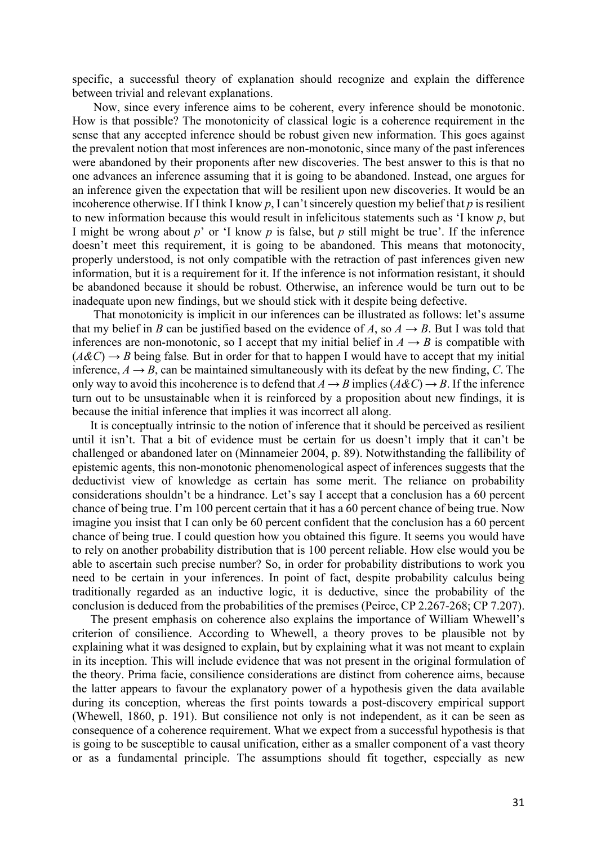specific, a successful theory of explanation should recognize and explain the difference between trivial and relevant explanations.

Now, since every inference aims to be coherent, every inference should be monotonic. How is that possible? The monotonicity of classical logic is a coherence requirement in the sense that any accepted inference should be robust given new information. This goes against the prevalent notion that most inferences are non-monotonic, since many of the past inferences were abandoned by their proponents after new discoveries. The best answer to this is that no one advances an inference assuming that it is going to be abandoned. Instead, one argues for an inference given the expectation that will be resilient upon new discoveries. It would be an incoherence otherwise. If I think I know *p*, I can't sincerely question my belief that *p* is resilient to new information because this would result in infelicitous statements such as 'I know *p*, but I might be wrong about *p*' or 'I know *p* is false, but *p* still might be true'. If the inference doesn't meet this requirement, it is going to be abandoned. This means that motonocity, properly understood, is not only compatible with the retraction of past inferences given new information, but it is a requirement for it. If the inference is not information resistant, it should be abandoned because it should be robust. Otherwise, an inference would be turn out to be inadequate upon new findings, but we should stick with it despite being defective.

That monotonicity is implicit in our inferences can be illustrated as follows: let's assume that my belief in *B* can be justified based on the evidence of *A*, so  $A \rightarrow B$ . But I was told that inferences are non-monotonic, so I accept that my initial belief in  $A \rightarrow B$  is compatible with  $(A \& C) \rightarrow B$  being false. But in order for that to happen I would have to accept that my initial inference,  $A \rightarrow B$ , can be maintained simultaneously with its defeat by the new finding, *C*. The only way to avoid this incoherence is to defend that  $A \rightarrow B$  implies ( $A \& C \rightarrow B$ ). If the inference turn out to be unsustainable when it is reinforced by a proposition about new findings, it is because the initial inference that implies it was incorrect all along.

It is conceptually intrinsic to the notion of inference that it should be perceived as resilient until it isn't. That a bit of evidence must be certain for us doesn't imply that it can't be challenged or abandoned later on (Minnameier 2004, p. 89). Notwithstanding the fallibility of epistemic agents, this non-monotonic phenomenological aspect of inferences suggests that the deductivist view of knowledge as certain has some merit. The reliance on probability considerations shouldn't be a hindrance. Let's say I accept that a conclusion has a 60 percent chance of being true. I'm 100 percent certain that it has a 60 percent chance of being true. Now imagine you insist that I can only be 60 percent confident that the conclusion has a 60 percent chance of being true. I could question how you obtained this figure. It seems you would have to rely on another probability distribution that is 100 percent reliable. How else would you be able to ascertain such precise number? So, in order for probability distributions to work you need to be certain in your inferences. In point of fact, despite probability calculus being traditionally regarded as an inductive logic, it is deductive, since the probability of the conclusion is deduced from the probabilities of the premises (Peirce, CP 2.267-268; CP 7.207).

The present emphasis on coherence also explains the importance of William Whewell's criterion of consilience. According to Whewell, a theory proves to be plausible not by explaining what it was designed to explain, but by explaining what it was not meant to explain in its inception. This will include evidence that was not present in the original formulation of the theory. Prima facie, consilience considerations are distinct from coherence aims, because the latter appears to favour the explanatory power of a hypothesis given the data available during its conception, whereas the first points towards a post-discovery empirical support (Whewell, 1860, p. 191). But consilience not only is not independent, as it can be seen as consequence of a coherence requirement. What we expect from a successful hypothesis is that is going to be susceptible to causal unification, either as a smaller component of a vast theory or as a fundamental principle. The assumptions should fit together, especially as new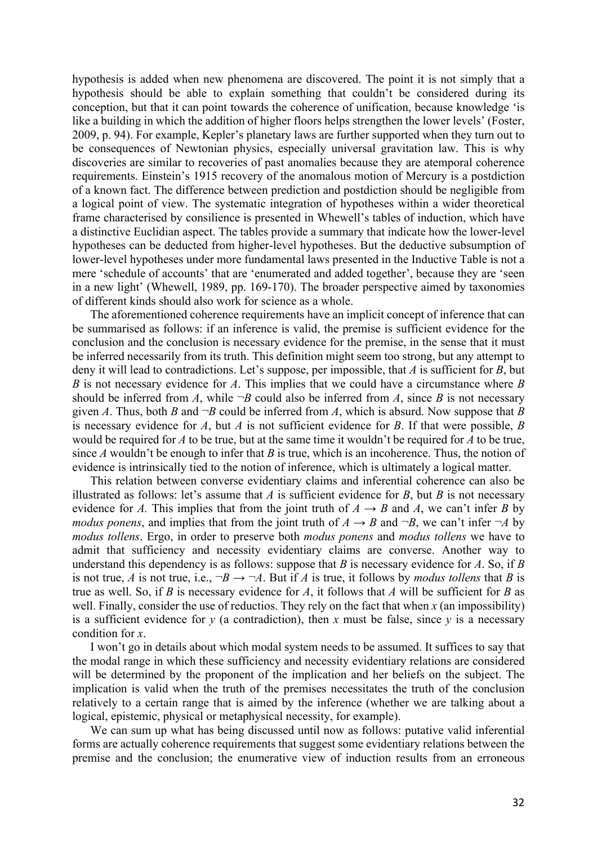hypothesis is added when new phenomena are discovered. The point it is not simply that a hypothesis should be able to explain something that couldn't be considered during its conception, but that it can point towards the coherence of unification, because knowledge 'is like a building in which the addition of higher floors helps strengthen the lower levels' (Foster, 2009, p. 94). For example, Kepler's planetary laws are further supported when they turn out to be consequences of Newtonian physics, especially universal gravitation law. This is why discoveries are similar to recoveries of past anomalies because they are atemporal coherence requirements. Einstein's 1915 recovery of the anomalous motion of Mercury is a postdiction of a known fact. The difference between prediction and postdiction should be negligible from a logical point of view. The systematic integration of hypotheses within a wider theoretical frame characterised by consilience is presented in Whewell's tables of induction, which have a distinctive Euclidian aspect. The tables provide a summary that indicate how the lower-level hypotheses can be deducted from higher-level hypotheses. But the deductive subsumption of lower-level hypotheses under more fundamental laws presented in the Inductive Table is not a mere 'schedule of accounts' that are 'enumerated and added together', because they are 'seen in a new light' (Whewell, 1989, pp. 169-170). The broader perspective aimed by taxonomies of different kinds should also work for science as a whole.

The aforementioned coherence requirements have an implicit concept of inference that can be summarised as follows: if an inference is valid, the premise is sufficient evidence for the conclusion and the conclusion is necessary evidence for the premise, in the sense that it must be inferred necessarily from its truth. This definition might seem too strong, but any attempt to deny it will lead to contradictions. Let's suppose, per impossible, that *A* is sufficient for *B*, but *B* is not necessary evidence for *A*. This implies that we could have a circumstance where *B* should be inferred from *A*, while  $\neg B$  could also be inferred from *A*, since *B* is not necessary given *A*. Thus, both *B* and  $\neg B$  could be inferred from *A*, which is absurd. Now suppose that *B* is necessary evidence for *A*, but *A* is not sufficient evidence for *B*. If that were possible, *B* would be required for *A* to be true, but at the same time it wouldn't be required for *A* to be true, since *A* wouldn't be enough to infer that *B* is true, which is an incoherence. Thus, the notion of evidence is intrinsically tied to the notion of inference, which is ultimately a logical matter.

This relation between converse evidentiary claims and inferential coherence can also be illustrated as follows: let's assume that *A* is sufficient evidence for *B*, but *B* is not necessary evidence for *A*. This implies that from the joint truth of  $A \rightarrow B$  and *A*, we can't infer *B* by *modus ponens*, and implies that from the joint truth of  $A \rightarrow B$  and  $\neg B$ , we can't infer  $\neg A$  by *modus tollens*. Ergo, in order to preserve both *modus ponens* and *modus tollens* we have to admit that sufficiency and necessity evidentiary claims are converse. Another way to understand this dependency is as follows: suppose that *B* is necessary evidence for *A*. So, if *B* is not true, *A* is not true, i.e.,  $\neg B \rightarrow \neg A$ . But if *A* is true, it follows by *modus tollens* that *B* is true as well. So, if *B* is necessary evidence for *A*, it follows that *A* will be sufficient for *B* as well. Finally, consider the use of reductios. They rely on the fact that when *x* (an impossibility) is a sufficient evidence for  $y$  (a contradiction), then  $x$  must be false, since  $y$  is a necessary condition for *x*.

I won't go in details about which modal system needs to be assumed. It suffices to say that the modal range in which these sufficiency and necessity evidentiary relations are considered will be determined by the proponent of the implication and her beliefs on the subject. The implication is valid when the truth of the premises necessitates the truth of the conclusion relatively to a certain range that is aimed by the inference (whether we are talking about a logical, epistemic, physical or metaphysical necessity, for example).

We can sum up what has being discussed until now as follows: putative valid inferential forms are actually coherence requirements that suggest some evidentiary relations between the premise and the conclusion; the enumerative view of induction results from an erroneous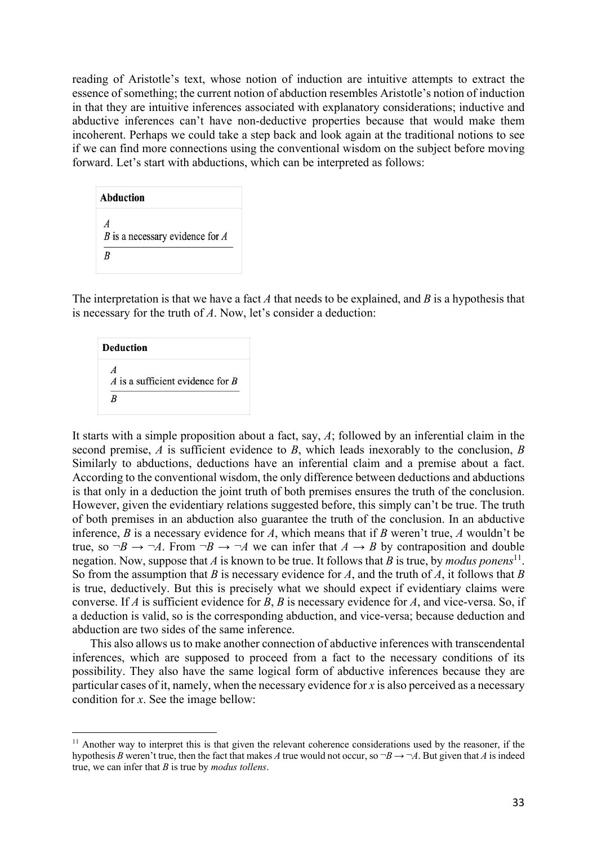reading of Aristotle's text, whose notion of induction are intuitive attempts to extract the essence of something; the current notion of abduction resembles Aristotle's notion of induction in that they are intuitive inferences associated with explanatory considerations; inductive and abductive inferences can't have non-deductive properties because that would make them incoherent. Perhaps we could take a step back and look again at the traditional notions to see if we can find more connections using the conventional wisdom on the subject before moving forward. Let's start with abductions, which can be interpreted as follows:

| Abduction                                         |  |
|---------------------------------------------------|--|
| A<br>B is a necessary evidence for $\Lambda$<br>R |  |

The interpretation is that we have a fact *A* that needs to be explained, and *B* is a hypothesis that is necessary for the truth of *A*. Now, let's consider a deduction:

| <b>Deduction</b>                 |  |
|----------------------------------|--|
| A is a sufficient evidence for B |  |
| R                                |  |

It starts with a simple proposition about a fact, say, *A*; followed by an inferential claim in the second premise, *A* is sufficient evidence to *B*, which leads inexorably to the conclusion, *B* Similarly to abductions, deductions have an inferential claim and a premise about a fact. According to the conventional wisdom, the only difference between deductions and abductions is that only in a deduction the joint truth of both premises ensures the truth of the conclusion. However, given the evidentiary relations suggested before, this simply can't be true. The truth of both premises in an abduction also guarantee the truth of the conclusion. In an abductive inference, *B* is a necessary evidence for *A*, which means that if *B* weren't true, *A* wouldn't be true, so  $\neg B \rightarrow \neg A$ . From  $\neg B \rightarrow \neg A$  we can infer that  $A \rightarrow B$  by contraposition and double negation. Now, suppose that *A* is known to be true. It follows that *B* is true, by *modus ponens*<sup>11</sup>. So from the assumption that *B* is necessary evidence for *A*, and the truth of *A*, it follows that *B* is true, deductively. But this is precisely what we should expect if evidentiary claims were converse. If *A* is sufficient evidence for *B*, *B* is necessary evidence for *A*, and vice-versa. So, if a deduction is valid, so is the corresponding abduction, and vice-versa; because deduction and abduction are two sides of the same inference.

This also allows us to make another connection of abductive inferences with transcendental inferences, which are supposed to proceed from a fact to the necessary conditions of its possibility. They also have the same logical form of abductive inferences because they are particular cases of it, namely, when the necessary evidence for  $x$  is also perceived as a necessary condition for *x*. See the image bellow:

<sup>&</sup>lt;sup>11</sup> Another way to interpret this is that given the relevant coherence considerations used by the reasoner, if the hypothesis *B* weren't true, then the fact that makes *A* true would not occur, so  $\neg B \rightarrow \neg A$ . But given that *A* is indeed true, we can infer that *B* is true by *modus tollens*.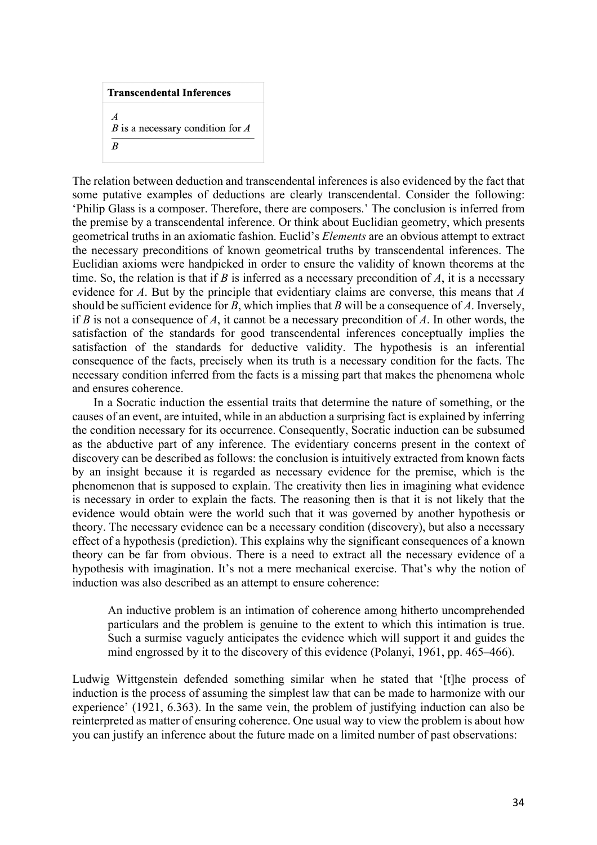```
Transcendental Inferences
\boldsymbol{A}B is a necessary condition for A\overline{B}
```
The relation between deduction and transcendental inferences is also evidenced by the fact that some putative examples of deductions are clearly transcendental. Consider the following: 'Philip Glass is a composer. Therefore, there are composers.' The conclusion is inferred from the premise by a transcendental inference. Or think about Euclidian geometry, which presents geometrical truths in an axiomatic fashion. Euclid's *Elements* are an obvious attempt to extract the necessary preconditions of known geometrical truths by transcendental inferences. The Euclidian axioms were handpicked in order to ensure the validity of known theorems at the time. So, the relation is that if *B* is inferred as a necessary precondition of *A*, it is a necessary evidence for *A*. But by the principle that evidentiary claims are converse, this means that *A* should be sufficient evidence for *B*, which implies that *B* will be a consequence of *A*. Inversely, if *B* is not a consequence of *A*, it cannot be a necessary precondition of *A*. In other words, the satisfaction of the standards for good transcendental inferences conceptually implies the satisfaction of the standards for deductive validity. The hypothesis is an inferential consequence of the facts, precisely when its truth is a necessary condition for the facts. The necessary condition inferred from the facts is a missing part that makes the phenomena whole and ensures coherence.

In a Socratic induction the essential traits that determine the nature of something, or the causes of an event, are intuited, while in an abduction a surprising fact is explained by inferring the condition necessary for its occurrence. Consequently, Socratic induction can be subsumed as the abductive part of any inference. The evidentiary concerns present in the context of discovery can be described as follows: the conclusion is intuitively extracted from known facts by an insight because it is regarded as necessary evidence for the premise, which is the phenomenon that is supposed to explain. The creativity then lies in imagining what evidence is necessary in order to explain the facts. The reasoning then is that it is not likely that the evidence would obtain were the world such that it was governed by another hypothesis or theory. The necessary evidence can be a necessary condition (discovery), but also a necessary effect of a hypothesis (prediction). This explains why the significant consequences of a known theory can be far from obvious. There is a need to extract all the necessary evidence of a hypothesis with imagination. It's not a mere mechanical exercise. That's why the notion of induction was also described as an attempt to ensure coherence:

An inductive problem is an intimation of coherence among hitherto uncomprehended particulars and the problem is genuine to the extent to which this intimation is true. Such a surmise vaguely anticipates the evidence which will support it and guides the mind engrossed by it to the discovery of this evidence (Polanyi, 1961, pp. 465–466).

Ludwig Wittgenstein defended something similar when he stated that '[t]he process of induction is the process of assuming the simplest law that can be made to harmonize with our experience' (1921, 6.363). In the same vein, the problem of justifying induction can also be reinterpreted as matter of ensuring coherence. One usual way to view the problem is about how you can justify an inference about the future made on a limited number of past observations: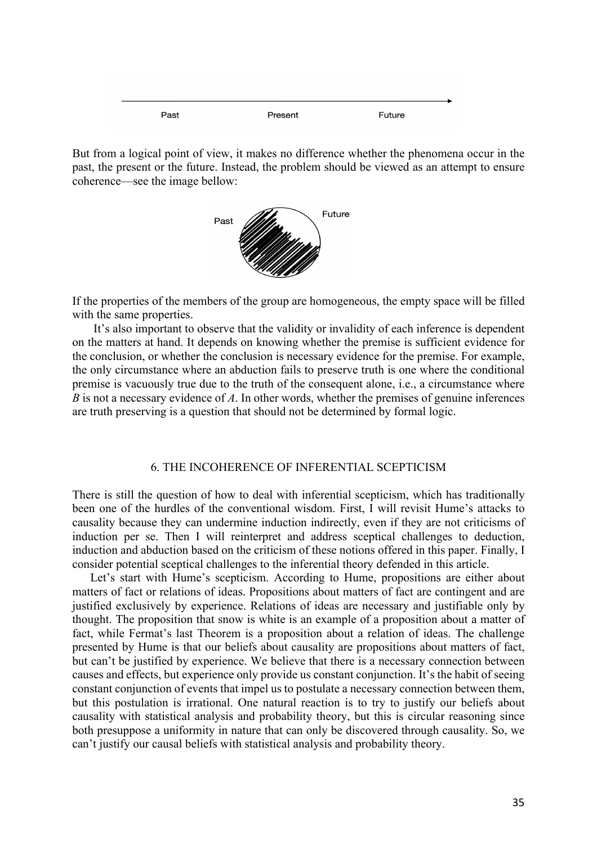Past Present Future

But from a logical point of view, it makes no difference whether the phenomena occur in the past, the present or the future. Instead, the problem should be viewed as an attempt to ensure coherence—see the image bellow:



If the properties of the members of the group are homogeneous, the empty space will be filled with the same properties.

It's also important to observe that the validity or invalidity of each inference is dependent on the matters at hand. It depends on knowing whether the premise is sufficient evidence for the conclusion, or whether the conclusion is necessary evidence for the premise. For example, the only circumstance where an abduction fails to preserve truth is one where the conditional premise is vacuously true due to the truth of the consequent alone, i.e., a circumstance where *B* is not a necessary evidence of *A*. In other words, whether the premises of genuine inferences are truth preserving is a question that should not be determined by formal logic.

## 6. THE INCOHERENCE OF INFERENTIAL SCEPTICISM

There is still the question of how to deal with inferential scepticism, which has traditionally been one of the hurdles of the conventional wisdom. First, I will revisit Hume's attacks to causality because they can undermine induction indirectly, even if they are not criticisms of induction per se. Then I will reinterpret and address sceptical challenges to deduction, induction and abduction based on the criticism of these notions offered in this paper. Finally, I consider potential sceptical challenges to the inferential theory defended in this article.

Let's start with Hume's scepticism. According to Hume, propositions are either about matters of fact or relations of ideas. Propositions about matters of fact are contingent and are justified exclusively by experience. Relations of ideas are necessary and justifiable only by thought. The proposition that snow is white is an example of a proposition about a matter of fact, while Fermat's last Theorem is a proposition about a relation of ideas. The challenge presented by Hume is that our beliefs about causality are propositions about matters of fact, but can't be justified by experience. We believe that there is a necessary connection between causes and effects, but experience only provide us constant conjunction. It's the habit of seeing constant conjunction of events that impel us to postulate a necessary connection between them, but this postulation is irrational. One natural reaction is to try to justify our beliefs about causality with statistical analysis and probability theory, but this is circular reasoning since both presuppose a uniformity in nature that can only be discovered through causality. So, we can't justify our causal beliefs with statistical analysis and probability theory.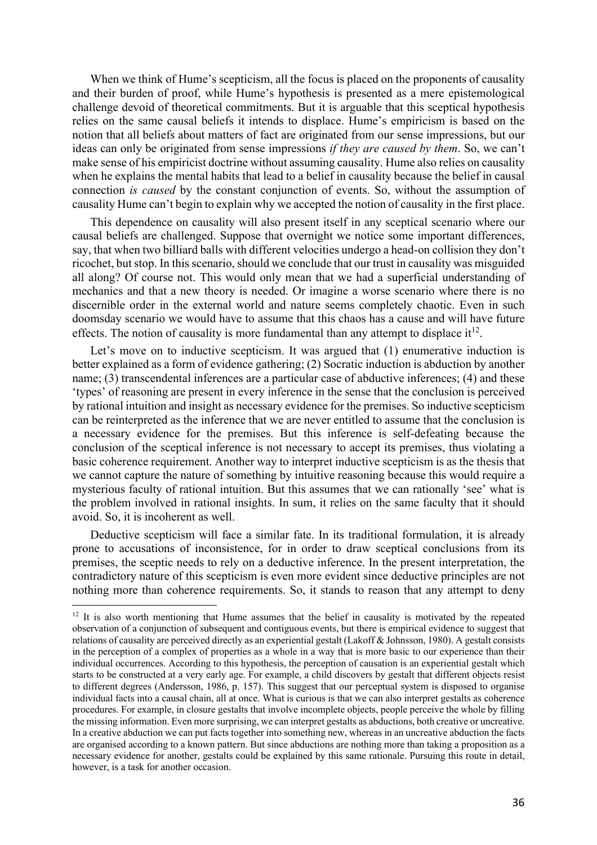When we think of Hume's scepticism, all the focus is placed on the proponents of causality and their burden of proof, while Hume's hypothesis is presented as a mere epistemological challenge devoid of theoretical commitments. But it is arguable that this sceptical hypothesis relies on the same causal beliefs it intends to displace. Hume's empiricism is based on the notion that all beliefs about matters of fact are originated from our sense impressions, but our ideas can only be originated from sense impressions *if they are caused by them*. So, we can't make sense of his empiricist doctrine without assuming causality. Hume also relies on causality when he explains the mental habits that lead to a belief in causality because the belief in causal connection *is caused* by the constant conjunction of events. So, without the assumption of causality Hume can't begin to explain why we accepted the notion of causality in the first place.

This dependence on causality will also present itself in any sceptical scenario where our causal beliefs are challenged. Suppose that overnight we notice some important differences, say, that when two billiard balls with different velocities undergo a head-on collision they don't ricochet, but stop. In this scenario, should we conclude that our trust in causality was misguided all along? Of course not. This would only mean that we had a superficial understanding of mechanics and that a new theory is needed. Or imagine a worse scenario where there is no discernible order in the external world and nature seems completely chaotic. Even in such doomsday scenario we would have to assume that this chaos has a cause and will have future effects. The notion of causality is more fundamental than any attempt to displace it<sup>12</sup>.

Let's move on to inductive scepticism. It was argued that (1) enumerative induction is better explained as a form of evidence gathering; (2) Socratic induction is abduction by another name; (3) transcendental inferences are a particular case of abductive inferences; (4) and these 'types' of reasoning are present in every inference in the sense that the conclusion is perceived by rational intuition and insight as necessary evidence for the premises. So inductive scepticism can be reinterpreted as the inference that we are never entitled to assume that the conclusion is a necessary evidence for the premises. But this inference is self-defeating because the conclusion of the sceptical inference is not necessary to accept its premises, thus violating a basic coherence requirement. Another way to interpret inductive scepticism is as the thesis that we cannot capture the nature of something by intuitive reasoning because this would require a mysterious faculty of rational intuition. But this assumes that we can rationally 'see' what is the problem involved in rational insights. In sum, it relies on the same faculty that it should avoid. So, it is incoherent as well.

Deductive scepticism will face a similar fate. In its traditional formulation, it is already prone to accusations of inconsistence, for in order to draw sceptical conclusions from its premises, the sceptic needs to rely on a deductive inference. In the present interpretation, the contradictory nature of this scepticism is even more evident since deductive principles are not nothing more than coherence requirements. So, it stands to reason that any attempt to deny

<sup>&</sup>lt;sup>12</sup> It is also worth mentioning that Hume assumes that the belief in causality is motivated by the repeated observation of a conjunction of subsequent and contiguous events, but there is empirical evidence to suggest that relations of causality are perceived directly as an experiential gestalt (Lakoff & Johnsson, 1980). A gestalt consists in the perception of a complex of properties as a whole in a way that is more basic to our experience than their individual occurrences. According to this hypothesis, the perception of causation is an experiential gestalt which starts to be constructed at a very early age. For example, a child discovers by gestalt that different objects resist to different degrees (Andersson, 1986, p. 157). This suggest that our perceptual system is disposed to organise individual facts into a causal chain, all at once. What is curious is that we can also interpret gestalts as coherence procedures. For example, in closure gestalts that involve incomplete objects, people perceive the whole by filling the missing information. Even more surprising, we can interpret gestalts as abductions, both creative or uncreative. In a creative abduction we can put facts together into something new, whereas in an uncreative abduction the facts are organised according to a known pattern. But since abductions are nothing more than taking a proposition as a necessary evidence for another, gestalts could be explained by this same rationale. Pursuing this route in detail, however, is a task for another occasion.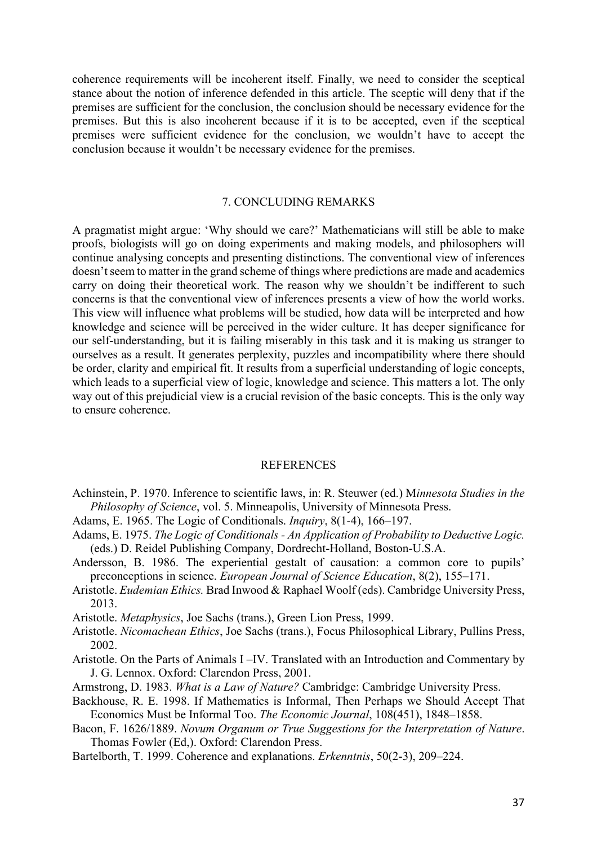coherence requirements will be incoherent itself. Finally, we need to consider the sceptical stance about the notion of inference defended in this article. The sceptic will deny that if the premises are sufficient for the conclusion, the conclusion should be necessary evidence for the premises. But this is also incoherent because if it is to be accepted, even if the sceptical premises were sufficient evidence for the conclusion, we wouldn't have to accept the conclusion because it wouldn't be necessary evidence for the premises.

## 7. CONCLUDING REMARKS

A pragmatist might argue: 'Why should we care?' Mathematicians will still be able to make proofs, biologists will go on doing experiments and making models, and philosophers will continue analysing concepts and presenting distinctions. The conventional view of inferences doesn't seem to matter in the grand scheme of things where predictions are made and academics carry on doing their theoretical work. The reason why we shouldn't be indifferent to such concerns is that the conventional view of inferences presents a view of how the world works. This view will influence what problems will be studied, how data will be interpreted and how knowledge and science will be perceived in the wider culture. It has deeper significance for our self-understanding, but it is failing miserably in this task and it is making us stranger to ourselves as a result. It generates perplexity, puzzles and incompatibility where there should be order, clarity and empirical fit. It results from a superficial understanding of logic concepts, which leads to a superficial view of logic, knowledge and science. This matters a lot. The only way out of this prejudicial view is a crucial revision of the basic concepts. This is the only way to ensure coherence.

## REFERENCES

- Achinstein, P. 1970. Inference to scientific laws, in: R. Steuwer (ed.) M*innesota Studies in the Philosophy of Science*, vol. 5. Minneapolis, University of Minnesota Press.
- Adams, E. 1965. The Logic of Conditionals. *Inquiry*, 8(1-4), 166–197.
- Adams, E. 1975. *The Logic of Conditionals - An Application of Probability to Deductive Logic.* (eds.) D. Reidel Publishing Company, Dordrecht-Holland, Boston-U.S.A.
- Andersson, B. 1986. The experiential gestalt of causation: a common core to pupils' preconceptions in science. *European Journal of Science Education*, 8(2), 155–171.
- Aristotle. *Eudemian Ethics.* Brad Inwood & Raphael Woolf (eds). Cambridge University Press, 2013.
- Aristotle. *Metaphysics*, Joe Sachs (trans.), Green Lion Press, 1999.
- Aristotle. *Nicomachean Ethics*, Joe Sachs (trans.), Focus Philosophical Library, Pullins Press, 2002.
- Aristotle. On the Parts of Animals I –IV. Translated with an Introduction and Commentary by J. G. Lennox. Oxford: Clarendon Press, 2001.
- Armstrong, D. 1983. *What is a Law of Nature?* Cambridge: Cambridge University Press.
- Backhouse, R. E. 1998. If Mathematics is Informal, Then Perhaps we Should Accept That Economics Must be Informal Too. *The Economic Journal*, 108(451), 1848–1858.
- Bacon, F. 1626/1889. *Novum Organum or True Suggestions for the Interpretation of Nature*. Thomas Fowler (Ed,). Oxford: Clarendon Press.
- Bartelborth, T. 1999. Coherence and explanations. *Erkenntnis*, 50(2-3), 209–224.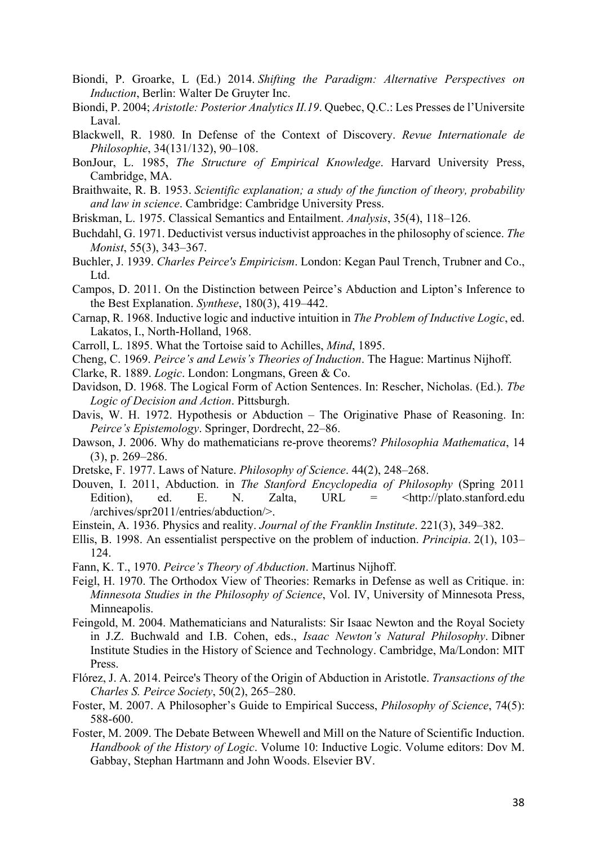- Biondi, P. Groarke, L (Ed.) 2014. *Shifting the Paradigm: Alternative Perspectives on Induction*, Berlin: Walter De Gruyter Inc.
- Biondi, P. 2004; *Aristotle: Posterior Analytics II.19*. Quebec, Q.C.: Les Presses de l'Universite Laval.
- Blackwell, R. 1980. In Defense of the Context of Discovery. *Revue Internationale de Philosophie*, 34(131/132), 90–108.
- BonJour, L. 1985, *The Structure of Empirical Knowledge*. Harvard University Press, Cambridge, MA.
- Braithwaite, R. B. 1953. *Scientific explanation; a study of the function of theory, probability and law in science*. Cambridge: Cambridge University Press.
- Briskman, L. 1975. Classical Semantics and Entailment. *Analysis*, 35(4), 118–126.
- Buchdahl, G. 1971. Deductivist versus inductivist approaches in the philosophy of science. *The Monist*, 55(3), 343–367.
- Buchler, J. 1939. *Charles Peirce's Empiricism*. London: Kegan Paul Trench, Trubner and Co., Ltd.
- Campos, D. 2011. On the Distinction between Peirce's Abduction and Lipton's Inference to the Best Explanation. *Synthese*, 180(3), 419–442.
- Carnap, R. 1968. Inductive logic and inductive intuition in *The Problem of Inductive Logic*, ed. Lakatos, I., North-Holland, 1968.
- Carroll, L. 1895. What the Tortoise said to Achilles, *Mind*, 1895.
- Cheng, C. 1969. *Peirce's and Lewis's Theories of Induction*. The Hague: Martinus Nijhoff.
- Clarke, R. 1889. *Logic*. London: Longmans, Green & Co.
- Davidson, D. 1968. The Logical Form of Action Sentences. In: Rescher, Nicholas. (Ed.). *Tbe Logic of Decision and Action*. Pittsburgh.
- Davis, W. H. 1972. Hypothesis or Abduction The Originative Phase of Reasoning. In: *Peirce's Epistemology*. Springer, Dordrecht, 22–86.
- Dawson, J. 2006. Why do mathematicians re-prove theorems? *Philosophia Mathematica*, 14 (3), p. 269–286.
- Dretske, F. 1977. Laws of Nature. *Philosophy of Science*. 44(2), 248–268.
- Douven, I. 2011, Abduction. in *The Stanford Encyclopedia of Philosophy* (Spring 2011 Edition), ed. E. N. Zalta, URL = <http://plato.stanford.edu /archives/spr2011/entries/abduction/>.
- Einstein, A. 1936. Physics and reality. *Journal of the Franklin Institute*. 221(3), 349–382.
- Ellis, B. 1998. An essentialist perspective on the problem of induction. *Principia*. 2(1), 103– 124.
- Fann, K. T., 1970. *Peirce's Theory of Abduction*. Martinus Nijhoff.
- Feigl, H. 1970. The Orthodox View of Theories: Remarks in Defense as well as Critique. in: *Minnesota Studies in the Philosophy of Science*, Vol. IV, University of Minnesota Press, Minneapolis.
- Feingold, M. 2004. Mathematicians and Naturalists: Sir Isaac Newton and the Royal Society in J.Z. Buchwald and I.B. Cohen, eds., *Isaac Newton's Natural Philosophy*. Dibner Institute Studies in the History of Science and Technology. Cambridge, Ma/London: MIT Press.
- Flórez, J. A. 2014. Peirce's Theory of the Origin of Abduction in Aristotle. *Transactions of the Charles S. Peirce Society*, 50(2), 265–280.
- Foster, M. 2007. A Philosopher's Guide to Empirical Success, *Philosophy of Science*, 74(5): 588-600.
- Foster, M. 2009. The Debate Between Whewell and Mill on the Nature of Scientific Induction. *Handbook of the History of Logic*. Volume 10: Inductive Logic. Volume editors: Dov M. Gabbay, Stephan Hartmann and John Woods. Elsevier BV.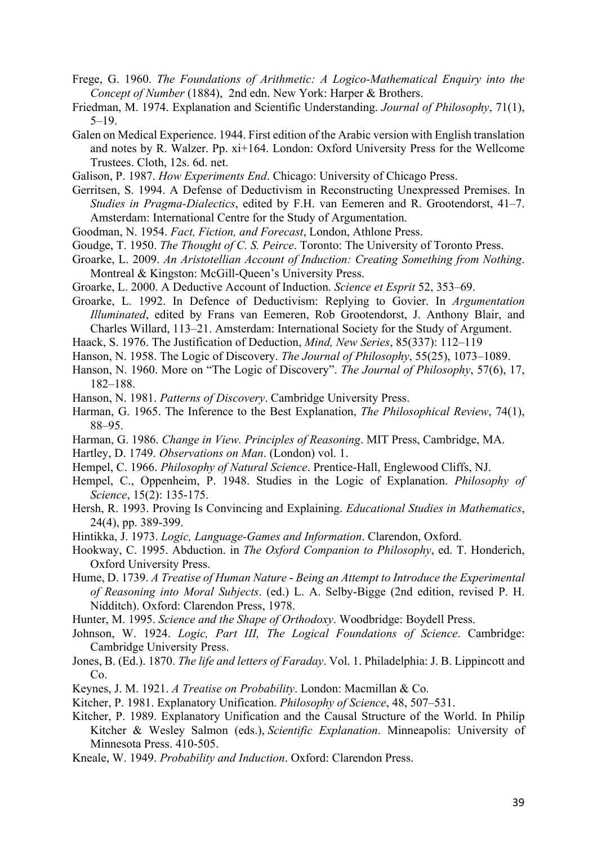- Frege, G. 1960. *The Foundations of Arithmetic: A Logico-Mathematical Enquiry into the Concept of Number* (1884), 2nd edn. New York: Harper & Brothers.
- Friedman, M. 1974. Explanation and Scientific Understanding. *Journal of Philosophy*, 71(1), 5–19.
- Galen on Medical Experience. 1944. First edition of the Arabic version with English translation and notes by R. Walzer. Pp. xi+164. London: Oxford University Press for the Wellcome Trustees. Cloth, 12s. 6d. net.
- Galison, P. 1987. *How Experiments End*. Chicago: University of Chicago Press.
- Gerritsen, S. 1994. A Defense of Deductivism in Reconstructing Unexpressed Premises. In *Studies in Pragma-Dialectics*, edited by F.H. van Eemeren and R. Grootendorst, 41–7. Amsterdam: International Centre for the Study of Argumentation.
- Goodman, N. 1954. *Fact, Fiction, and Forecast*, London, Athlone Press.
- Goudge, T. 1950. *The Thought of C. S. Peirce*. Toronto: The University of Toronto Press.
- Groarke, L. 2009. *An Aristotellian Account of Induction: Creating Something from Nothing*. Montreal & Kingston: McGill-Queen's University Press.
- Groarke, L. 2000. A Deductive Account of Induction. *Science et Esprit* 52, 353–69.
- Groarke, L. 1992. In Defence of Deductivism: Replying to Govier. In *Argumentation Illuminated*, edited by Frans van Eemeren, Rob Grootendorst, J. Anthony Blair, and Charles Willard, 113–21. Amsterdam: International Society for the Study of Argument.
- Haack, S. 1976. The Justification of Deduction, *Mind, New Series*, 85(337): 112–119
- Hanson, N. 1958. The Logic of Discovery. *The Journal of Philosophy*, 55(25), 1073–1089.
- Hanson, N. 1960. More on "The Logic of Discovery". *The Journal of Philosophy*, 57(6), 17, 182–188.
- Hanson, N. 1981. *Patterns of Discovery*. Cambridge University Press.
- Harman, G. 1965. The Inference to the Best Explanation, *The Philosophical Review*, 74(1), 88–95.
- Harman, G. 1986. *Change in View. Principles of Reasoning*. MIT Press, Cambridge, MA.
- Hartley, D. 1749. *Observations on Man*. (London) vol. 1.
- Hempel, C. 1966. *Philosophy of Natural Science*. Prentice-Hall, Englewood Cliffs, NJ.
- Hempel, C., Oppenheim, P. 1948. Studies in the Logic of Explanation. *Philosophy of Science*, 15(2): 135-175.
- Hersh, R. 1993. Proving Is Convincing and Explaining. *Educational Studies in Mathematics*, 24(4), pp. 389-399.
- Hintikka, J. 1973. *Logic, Language-Games and Information*. Clarendon, Oxford.
- Hookway, C. 1995. Abduction. in *The Oxford Companion to Philosophy*, ed. T. Honderich, Oxford University Press.
- Hume, D. 1739. *A Treatise of Human Nature Being an Attempt to Introduce the Experimental of Reasoning into Moral Subjects*. (ed.) L. A. Selby-Bigge (2nd edition, revised P. H. Nidditch). Oxford: Clarendon Press, 1978.
- Hunter, M. 1995. *Science and the Shape of Orthodoxy*. Woodbridge: Boydell Press.
- Johnson, W. 1924. *Logic, Part III, The Logical Foundations of Science*. Cambridge: Cambridge University Press.
- Jones, B. (Ed.). 1870. *The life and letters of Faraday*. Vol. 1. Philadelphia: J. B. Lippincott and Co.
- Keynes, J. M. 1921. *A Treatise on Probability*. London: Macmillan & Co.
- Kitcher, P. 1981. Explanatory Unification. *Philosophy of Science*, 48, 507–531.
- Kitcher, P. 1989. Explanatory Unification and the Causal Structure of the World. In Philip Kitcher & Wesley Salmon (eds.), *Scientific Explanation*. Minneapolis: University of Minnesota Press. 410-505.
- Kneale, W. 1949. *Probability and Induction*. Oxford: Clarendon Press.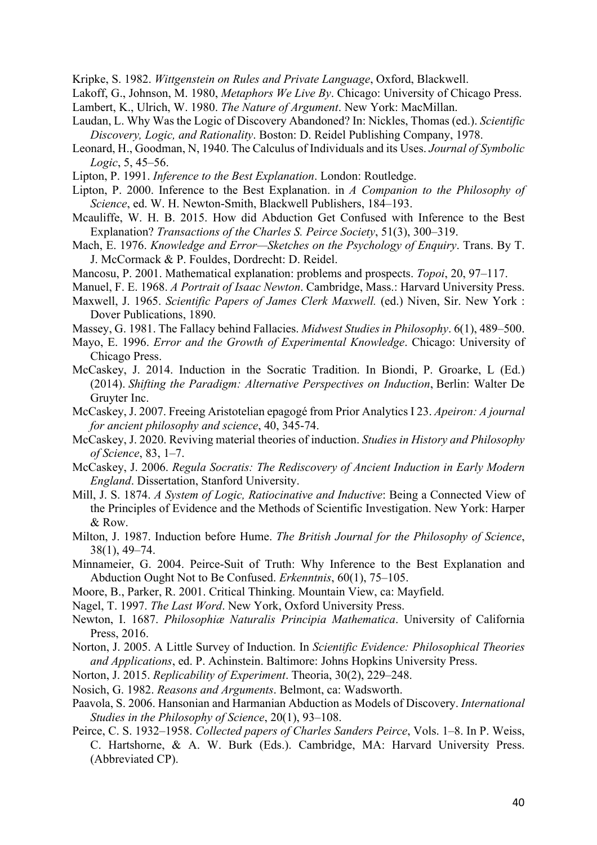Kripke, S. 1982. *Wittgenstein on Rules and Private Language*, Oxford, Blackwell.

- Lakoff, G., Johnson, M. 1980, *Metaphors We Live By*. Chicago: University of Chicago Press.
- Lambert, K., Ulrich, W. 1980. *The Nature of Argument*. New York: MacMillan.
- Laudan, L. Why Was the Logic of Discovery Abandoned? In: Nickles, Thomas (ed.). *Scientific Discovery, Logic, and Rationality*. Boston: D. Reidel Publishing Company, 1978.
- Leonard, H., Goodman, N, 1940. The Calculus of Individuals and its Uses. *Journal of Symbolic Logic*, 5, 45–56.
- Lipton, P. 1991. *Inference to the Best Explanation*. London: Routledge.
- Lipton, P. 2000. Inference to the Best Explanation. in *A Companion to the Philosophy of Science*, ed. W. H. Newton-Smith, Blackwell Publishers, 184–193.
- Mcauliffe, W. H. B. 2015. How did Abduction Get Confused with Inference to the Best Explanation? *Transactions of the Charles S. Peirce Society*, 51(3), 300–319.
- Mach, E. 1976. *Knowledge and Error—Sketches on the Psychology of Enquiry*. Trans. By T. J. McCormack & P. Fouldes, Dordrecht: D. Reidel.
- Mancosu, P. 2001. Mathematical explanation: problems and prospects. *Topoi*, 20, 97–117.
- Manuel, F. E. 1968. *A Portrait of Isaac Newton*. Cambridge, Mass.: Harvard University Press.
- Maxwell, J. 1965. *Scientific Papers of James Clerk Maxwell.* (ed.) Niven, Sir. New York : Dover Publications, 1890.
- Massey, G. 1981. The Fallacy behind Fallacies. *Midwest Studies in Philosophy*. 6(1), 489–500.
- Mayo, E. 1996. *Error and the Growth of Experimental Knowledge*. Chicago: University of Chicago Press.
- McCaskey, J. 2014. Induction in the Socratic Tradition. In Biondi, P. Groarke, L (Ed.) (2014). *Shifting the Paradigm: Alternative Perspectives on Induction*, Berlin: Walter De Gruyter Inc.
- McCaskey, J. 2007. Freeing Aristotelian epagogé from Prior Analytics I 23. *Apeiron: A journal for ancient philosophy and science*, 40, 345-74.
- McCaskey, J. 2020. Reviving material theories of induction. *Studies in History and Philosophy of Science*, 83, 1–7.
- McCaskey, J. 2006. *Regula Socratis: The Rediscovery of Ancient Induction in Early Modern England*. Dissertation, Stanford University.
- Mill, J. S. 1874. *A System of Logic, Ratiocinative and Inductive*: Being a Connected View of the Principles of Evidence and the Methods of Scientific Investigation. New York: Harper & Row.
- Milton, J. 1987. Induction before Hume. *The British Journal for the Philosophy of Science*, 38(1), 49–74.
- Minnameier, G. 2004. Peirce-Suit of Truth: Why Inference to the Best Explanation and Abduction Ought Not to Be Confused. *Erkenntnis*, 60(1), 75–105.
- Moore, B., Parker, R. 2001. Critical Thinking. Mountain View, ca: Mayfield.
- Nagel, T. 1997. *The Last Word*. New York, Oxford University Press.
- Newton, I. 1687. *Philosophiæ Naturalis Principia Mathematica*. University of California Press, 2016.
- Norton, J. 2005. A Little Survey of Induction. In *Scientific Evidence: Philosophical Theories and Applications*, ed. P. Achinstein. Baltimore: Johns Hopkins University Press.
- Norton, J. 2015. *Replicability of Experiment*. Theoria, 30(2), 229–248.
- Nosich, G. 1982. *Reasons and Arguments*. Belmont, ca: Wadsworth.
- Paavola, S. 2006. Hansonian and Harmanian Abduction as Models of Discovery. *International Studies in the Philosophy of Science*, 20(1), 93–108.
- Peirce, C. S. 1932–1958. *Collected papers of Charles Sanders Peirce*, Vols. 1–8. In P. Weiss, C. Hartshorne, & A. W. Burk (Eds.). Cambridge, MA: Harvard University Press. (Abbreviated CP).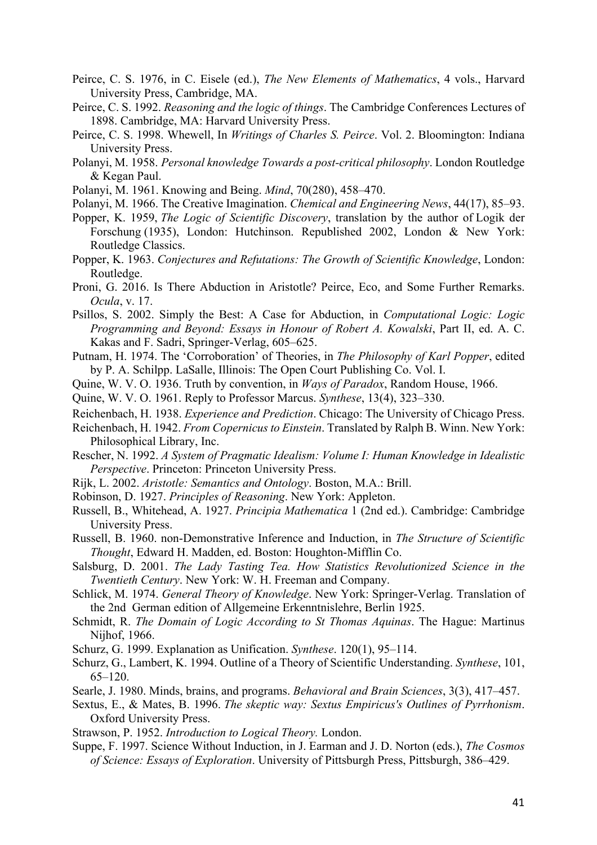- Peirce, C. S. 1976, in C. Eisele (ed.), *The New Elements of Mathematics*, 4 vols., Harvard University Press, Cambridge, MA.
- Peirce, C. S. 1992. *Reasoning and the logic of things*. The Cambridge Conferences Lectures of 1898. Cambridge, MA: Harvard University Press.
- Peirce, C. S. 1998. Whewell, In *Writings of Charles S. Peirce*. Vol. 2. Bloomington: Indiana University Press.
- Polanyi, M. 1958. *Personal knowledge Towards a post-critical philosophy*. London Routledge & Kegan Paul.
- Polanyi, M. 1961. Knowing and Being. *Mind*, 70(280), 458–470.
- Polanyi, M. 1966. The Creative Imagination. *Chemical and Engineering News*, 44(17), 85–93.
- Popper, K. 1959, *The Logic of Scientific Discovery*, translation by the author of Logik der Forschung (1935), London: Hutchinson. Republished 2002, London & New York: Routledge Classics.
- Popper, K. 1963. *Conjectures and Refutations: The Growth of Scientific Knowledge*, London: Routledge.
- Proni, G. 2016. Is There Abduction in Aristotle? Peirce, Eco, and Some Further Remarks. *Ocula*, v. 17.
- Psillos, S. 2002. Simply the Best: A Case for Abduction, in *Computational Logic: Logic Programming and Beyond: Essays in Honour of Robert A. Kowalski*, Part II, ed. A. C. Kakas and F. Sadri, Springer-Verlag, 605–625.
- Putnam, H. 1974. The 'Corroboration' of Theories, in *The Philosophy of Karl Popper*, edited by P. A. Schilpp. LaSalle, Illinois: The Open Court Publishing Co. Vol. I.
- Quine, W. V. O. 1936. Truth by convention, in *Ways of Paradox*, Random House, 1966.
- Quine, W. V. O. 1961. Reply to Professor Marcus. *Synthese*, 13(4), 323–330.
- Reichenbach, H. 1938. *Experience and Prediction*. Chicago: The University of Chicago Press.
- Reichenbach, H. 1942. *From Copernicus to Einstein*. Translated by Ralph B. Winn. New York: Philosophical Library, Inc.
- Rescher, N. 1992. *A System of Pragmatic Idealism: Volume I: Human Knowledge in Idealistic Perspective*. Princeton: Princeton University Press.
- Rijk, L. 2002. *Aristotle: Semantics and Ontology*. Boston, M.A.: Brill.
- Robinson, D. 1927. *Principles of Reasoning*. New York: Appleton.
- Russell, B., Whitehead, A. 1927. *Principia Mathematica* 1 (2nd ed.). Cambridge: Cambridge University Press.
- Russell, B. 1960. non-Demonstrative Inference and Induction, in *The Structure of Scientific Thought*, Edward H. Madden, ed. Boston: Houghton-Mifflin Co.
- Salsburg, D. 2001. *The Lady Tasting Tea. How Statistics Revolutionized Science in the Twentieth Century*. New York: W. H. Freeman and Company.
- Schlick, M. 1974. *General Theory of Knowledge*. New York: Springer-Verlag. Translation of the 2nd German edition of Allgemeine Erkenntnislehre, Berlin 1925.
- Schmidt, R. *The Domain of Logic According to St Thomas Aquinas*. The Hague: Martinus Nijhof, 1966.
- Schurz, G. 1999. Explanation as Unification. *Synthese*. 120(1), 95–114.
- Schurz, G., Lambert, K. 1994. Outline of a Theory of Scientific Understanding. *Synthese*, 101, 65–120.
- Searle, J. 1980. Minds, brains, and programs. *Behavioral and Brain Sciences*, 3(3), 417–457.
- Sextus, E., & Mates, B. 1996. *The skeptic way: Sextus Empiricus's Outlines of Pyrrhonism*. Oxford University Press.
- Strawson, P. 1952. *Introduction to Logical Theory.* London.
- Suppe, F. 1997. Science Without Induction, in J. Earman and J. D. Norton (eds.), *The Cosmos of Science: Essays of Exploration*. University of Pittsburgh Press, Pittsburgh, 386–429.